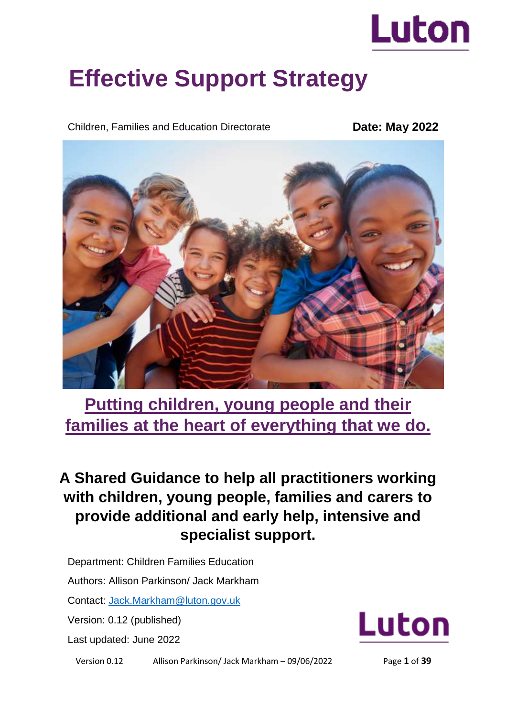

# **Effective Support Strategy**

Children, Families and Education Directorate

**Date: May 2022**



**Putting children, young people and their families at the heart of everything that we do.** 

# **A Shared Guidance to help all practitioners working with children, young people, families and carers to provide additional and early help, intensive and specialist support.**

Department: Children Families Education

Authors: Allison Parkinson/ Jack Markham

Contact: [Jack.Markham@luton.gov.uk](mailto:Jack.Markham@luton.gov.uk)

Version: 0.12 (published)

Last updated: June 2022



Version 0.12 Allison Parkinson/ Jack Markham – 09/06/2022 Page **1** of **39**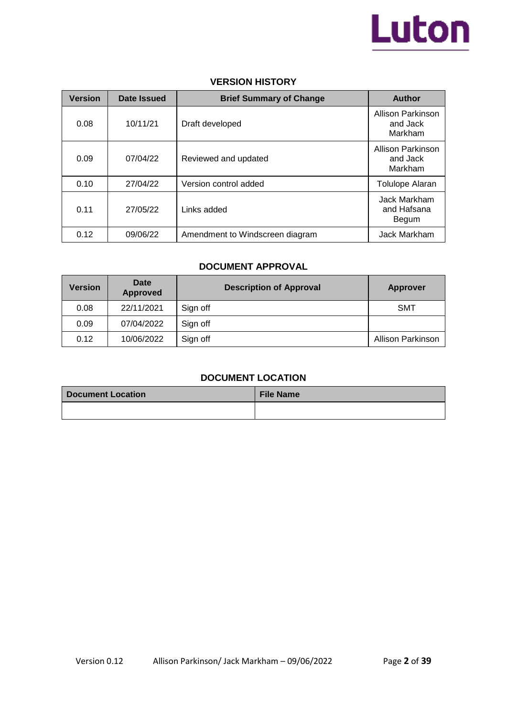

### **VERSION HISTORY**

| <b>Version</b> | Date Issued | <b>Brief Summary of Change</b>  | <b>Author</b>                            |
|----------------|-------------|---------------------------------|------------------------------------------|
| 0.08           | 10/11/21    | Draft developed                 | Allison Parkinson<br>and Jack<br>Markham |
| 0.09           | 07/04/22    | Reviewed and updated            | Allison Parkinson<br>and Jack<br>Markham |
| 0.10           | 27/04/22    | Version control added           | Tolulope Alaran                          |
| 0.11           | 27/05/22    | Links added                     | Jack Markham<br>and Hafsana<br>Begum     |
| 0.12           | 09/06/22    | Amendment to Windscreen diagram | Jack Markham                             |

### **DOCUMENT APPROVAL**

| <b>Version</b> | Date<br><b>Approved</b> | <b>Description of Approval</b> | <b>Approver</b>   |
|----------------|-------------------------|--------------------------------|-------------------|
| 0.08           | 22/11/2021              | Sign off                       | <b>SMT</b>        |
| 0.09           | 07/04/2022              | Sign off                       |                   |
| 0.12           | 10/06/2022              | Sign off                       | Allison Parkinson |

### **DOCUMENT LOCATION**

| Document Location | <b>File Name</b> |
|-------------------|------------------|
|                   |                  |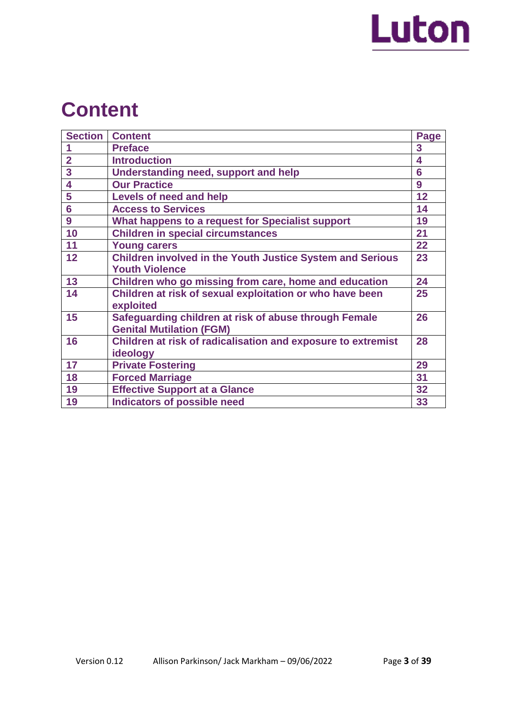

# **Content**

| <b>Section</b> | <b>Content</b>                                                   | Page |
|----------------|------------------------------------------------------------------|------|
|                | <b>Preface</b>                                                   | 3    |
| $\overline{2}$ | <b>Introduction</b>                                              | 4    |
| 3              | Understanding need, support and help                             | 6    |
| 4              | <b>Our Practice</b>                                              | 9    |
| 5              | Levels of need and help                                          | 12   |
| $6\phantom{a}$ | <b>Access to Services</b>                                        | 14   |
| 9              | What happens to a request for Specialist support                 | 19   |
| 10             | <b>Children in special circumstances</b>                         | 21   |
| 11             | <b>Young carers</b>                                              | 22   |
| 12             | <b>Children involved in the Youth Justice System and Serious</b> | 23   |
|                | <b>Youth Violence</b>                                            |      |
| 13             | Children who go missing from care, home and education            | 24   |
| 14             | Children at risk of sexual exploitation or who have been         | 25   |
|                | exploited                                                        |      |
| 15             | Safeguarding children at risk of abuse through Female            | 26   |
|                | <b>Genital Mutilation (FGM)</b>                                  |      |
| 16             | Children at risk of radicalisation and exposure to extremist     | 28   |
|                | ideology                                                         |      |
| 17             | <b>Private Fostering</b>                                         | 29   |
| 18             | <b>Forced Marriage</b>                                           | 31   |
| 19             | <b>Effective Support at a Glance</b>                             | 32   |
| 19             | <b>Indicators of possible need</b>                               | 33   |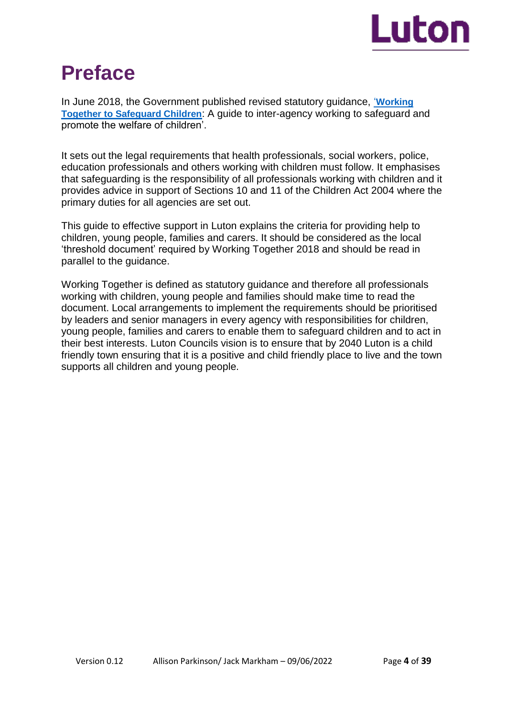

# **Preface**

In June 2018, the Government published revised statutory guidance, '**[Working](http://www.workingtogetheronline.co.uk/)  [Together to Safeguard Children](http://www.workingtogetheronline.co.uk/)**: A guide to inter-agency working to safeguard and promote the welfare of children'.

It sets out the legal requirements that health professionals, social workers, police, education professionals and others working with children must follow. It emphasises that safeguarding is the responsibility of all professionals working with children and it provides advice in support of Sections 10 and 11 of the Children Act 2004 where the primary duties for all agencies are set out.

This guide to effective support in Luton explains the criteria for providing help to children, young people, families and carers. It should be considered as the local 'threshold document' required by Working Together 2018 and should be read in parallel to the guidance.

Working Together is defined as statutory guidance and therefore all professionals working with children, young people and families should make time to read the document. Local arrangements to implement the requirements should be prioritised by leaders and senior managers in every agency with responsibilities for children, young people, families and carers to enable them to safeguard children and to act in their best interests. Luton Councils vision is to ensure that by 2040 Luton is a child friendly town ensuring that it is a positive and child friendly place to live and the town supports all children and young people.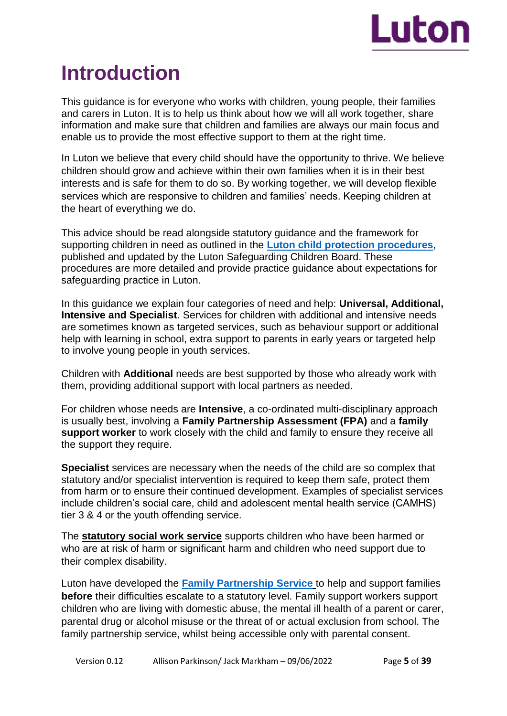

# **Introduction**

This guidance is for everyone who works with children, young people, their families and carers in Luton. It is to help us think about how we will all work together, share information and make sure that children and families are always our main focus and enable us to provide the most effective support to them at the right time.

In Luton we believe that every child should have the opportunity to thrive. We believe children should grow and achieve within their own families when it is in their best interests and is safe for them to do so. By working together, we will develop flexible services which are responsive to children and families' needs. Keeping children at the heart of everything we do.

This advice should be read alongside statutory guidance and the framework for supporting children in need as outlined in the **[Luton child protection procedures](https://bedfordscb.proceduresonline.com/p_bedford_cp_conf.html?zoom_highlight=Luton+child+protection+procedures)**, published and updated by the Luton Safeguarding Children Board. These procedures are more detailed and provide practice guidance about expectations for safeguarding practice in Luton.

In this guidance we explain four categories of need and help: **Universal, Additional, Intensive and Specialist**. Services for children with additional and intensive needs are sometimes known as targeted services, such as behaviour support or additional help with learning in school, extra support to parents in early years or targeted help to involve young people in youth services.

Children with **Additional** needs are best supported by those who already work with them, providing additional support with local partners as needed.

For children whose needs are **Intensive**, a co-ordinated multi-disciplinary approach is usually best, involving a **Family Partnership Assessment (FPA)** and a **family support worker** to work closely with the child and family to ensure they receive all the support they require.

**Specialist** services are necessary when the needs of the child are so complex that statutory and/or specialist intervention is required to keep them safe, protect them from harm or to ensure their continued development. Examples of specialist services include children's social care, child and adolescent mental health service (CAMHS) tier 3 & 4 or the youth offending service.

The **statutory social work service** supports children who have been harmed or who are at risk of harm or significant harm and children who need support due to their complex disability.

Luton have developed the **[Family Partnership Service](https://m.luton.gov.uk/Page/Show/Health_and_social_care/children_and_family_services/Pages/luton-family-partnership-service.aspx)** to help and support families **before** their difficulties escalate to a statutory level. Family support workers support children who are living with domestic abuse, the mental ill health of a parent or carer, parental drug or alcohol misuse or the threat of or actual exclusion from school. The family partnership service, whilst being accessible only with parental consent.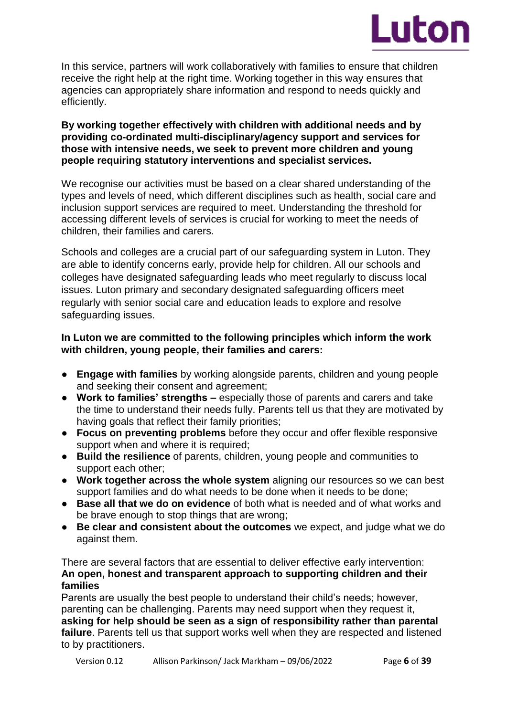

In this service, partners will work collaboratively with families to ensure that children receive the right help at the right time. Working together in this way ensures that agencies can appropriately share information and respond to needs quickly and efficiently.

### **By working together effectively with children with additional needs and by providing co-ordinated multi-disciplinary/agency support and services for those with intensive needs, we seek to prevent more children and young people requiring statutory interventions and specialist services.**

We recognise our activities must be based on a clear shared understanding of the types and levels of need, which different disciplines such as health, social care and inclusion support services are required to meet. Understanding the threshold for accessing different levels of services is crucial for working to meet the needs of children, their families and carers.

Schools and colleges are a crucial part of our safeguarding system in Luton. They are able to identify concerns early, provide help for children. All our schools and colleges have designated safeguarding leads who meet regularly to discuss local issues. Luton primary and secondary designated safeguarding officers meet regularly with senior social care and education leads to explore and resolve safeguarding issues.

### **In Luton we are committed to the following principles which inform the work with children, young people, their families and carers:**

- **Engage with families** by working alongside parents, children and young people and seeking their consent and agreement;
- **Work to families' strengths –** especially those of parents and carers and take the time to understand their needs fully. Parents tell us that they are motivated by having goals that reflect their family priorities;
- **Focus on preventing problems** before they occur and offer flexible responsive support when and where it is required;
- **Build the resilience** of parents, children, young people and communities to support each other;
- **Work together across the whole system** aligning our resources so we can best support families and do what needs to be done when it needs to be done;
- **Base all that we do on evidence** of both what is needed and of what works and be brave enough to stop things that are wrong;
- **Be clear and consistent about the outcomes** we expect, and judge what we do against them.

There are several factors that are essential to deliver effective early intervention: **An open, honest and transparent approach to supporting children and their families**

Parents are usually the best people to understand their child's needs; however, parenting can be challenging. Parents may need support when they request it, **asking for help should be seen as a sign of responsibility rather than parental failure**. Parents tell us that support works well when they are respected and listened to by practitioners.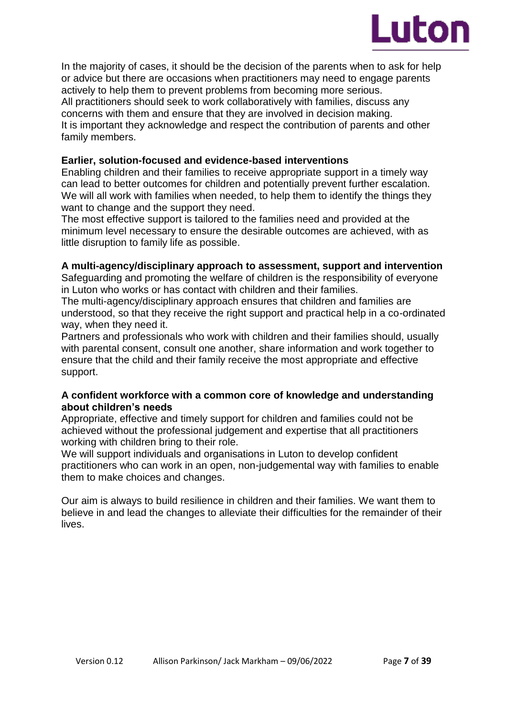

In the majority of cases, it should be the decision of the parents when to ask for help or advice but there are occasions when practitioners may need to engage parents actively to help them to prevent problems from becoming more serious. All practitioners should seek to work collaboratively with families, discuss any concerns with them and ensure that they are involved in decision making. It is important they acknowledge and respect the contribution of parents and other family members.

### **Earlier, solution-focused and evidence-based interventions**

Enabling children and their families to receive appropriate support in a timely way can lead to better outcomes for children and potentially prevent further escalation. We will all work with families when needed, to help them to identify the things they want to change and the support they need.

The most effective support is tailored to the families need and provided at the minimum level necessary to ensure the desirable outcomes are achieved, with as little disruption to family life as possible.

### **A multi-agency/disciplinary approach to assessment, support and intervention**

Safeguarding and promoting the welfare of children is the responsibility of everyone in Luton who works or has contact with children and their families.

The multi-agency/disciplinary approach ensures that children and families are understood, so that they receive the right support and practical help in a co-ordinated way, when they need it.

Partners and professionals who work with children and their families should, usually with parental consent, consult one another, share information and work together to ensure that the child and their family receive the most appropriate and effective support.

### **A confident workforce with a common core of knowledge and understanding about children's needs**

Appropriate, effective and timely support for children and families could not be achieved without the professional judgement and expertise that all practitioners working with children bring to their role.

We will support individuals and organisations in Luton to develop confident practitioners who can work in an open, non-judgemental way with families to enable them to make choices and changes.

Our aim is always to build resilience in children and their families. We want them to believe in and lead the changes to alleviate their difficulties for the remainder of their lives.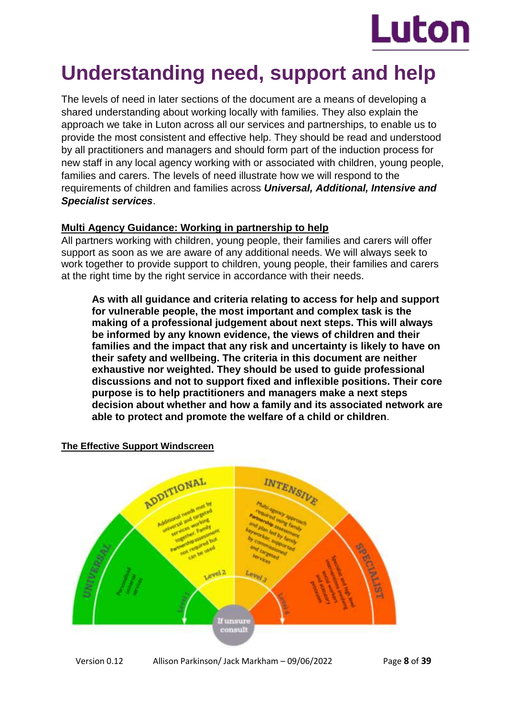

# **Understanding need, support and help**

The levels of need in later sections of the document are a means of developing a shared understanding about working locally with families. They also explain the approach we take in Luton across all our services and partnerships, to enable us to provide the most consistent and effective help. They should be read and understood by all practitioners and managers and should form part of the induction process for new staff in any local agency working with or associated with children, young people, families and carers. The levels of need illustrate how we will respond to the requirements of children and families across *Universal, Additional, Intensive and Specialist services*.

## **Multi Agency Guidance: Working in partnership to help**

All partners working with children, young people, their families and carers will offer support as soon as we are aware of any additional needs. We will always seek to work together to provide support to children, young people, their families and carers at the right time by the right service in accordance with their needs.

**As with all guidance and criteria relating to access for help and support for vulnerable people, the most important and complex task is the making of a professional judgement about next steps. This will always be informed by any known evidence, the views of children and their families and the impact that any risk and uncertainty is likely to have on their safety and wellbeing. The criteria in this document are neither exhaustive nor weighted. They should be used to guide professional discussions and not to support fixed and inflexible positions. Their core purpose is to help practitioners and managers make a next steps decision about whether and how a family and its associated network are able to protect and promote the welfare of a child or children**.

# ADDITIONAL **INTENSIVE**  $m<sub>1</sub>$ lf unsur

### **The Effective Support Windscreen**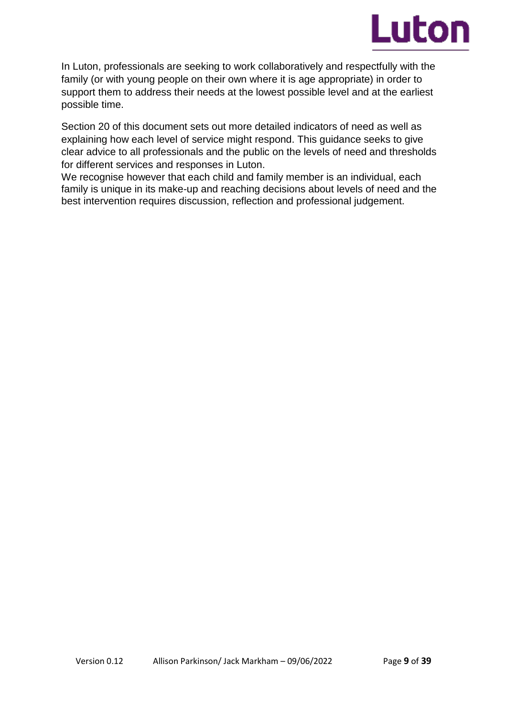

In Luton, professionals are seeking to work collaboratively and respectfully with the family (or with young people on their own where it is age appropriate) in order to support them to address their needs at the lowest possible level and at the earliest possible time.

Section 20 of this document sets out more detailed indicators of need as well as explaining how each level of service might respond. This guidance seeks to give clear advice to all professionals and the public on the levels of need and thresholds for different services and responses in Luton.

We recognise however that each child and family member is an individual, each family is unique in its make-up and reaching decisions about levels of need and the best intervention requires discussion, reflection and professional judgement.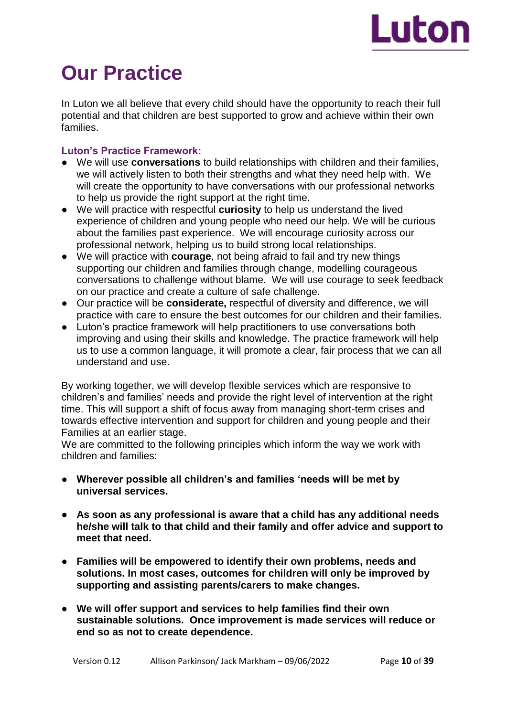

# **Our Practice**

In Luton we all believe that every child should have the opportunity to reach their full potential and that children are best supported to grow and achieve within their own families.

### **Luton's Practice Framework:**

- We will use **conversations** to build relationships with children and their families, we will actively listen to both their strengths and what they need help with. We will create the opportunity to have conversations with our professional networks to help us provide the right support at the right time.
- We will practice with respectful **curiosity** to help us understand the lived experience of children and young people who need our help. We will be curious about the families past experience. We will encourage curiosity across our professional network, helping us to build strong local relationships.
- We will practice with **courage**, not being afraid to fail and try new things supporting our children and families through change, modelling courageous conversations to challenge without blame. We will use courage to seek feedback on our practice and create a culture of safe challenge.
- Our practice will be **considerate,** respectful of diversity and difference, we will practice with care to ensure the best outcomes for our children and their families.
- Luton's practice framework will help practitioners to use conversations both improving and using their skills and knowledge. The practice framework will help us to use a common language, it will promote a clear, fair process that we can all understand and use.

By working together, we will develop flexible services which are responsive to children's and families' needs and provide the right level of intervention at the right time. This will support a shift of focus away from managing short-term crises and towards effective intervention and support for children and young people and their Families at an earlier stage.

We are committed to the following principles which inform the way we work with children and families:

- **Wherever possible all children's and families 'needs will be met by universal services.**
- **As soon as any professional is aware that a child has any additional needs he/she will talk to that child and their family and offer advice and support to meet that need.**
- **Families will be empowered to identify their own problems, needs and solutions. In most cases, outcomes for children will only be improved by supporting and assisting parents/carers to make changes.**
- **We will offer support and services to help families find their own sustainable solutions. Once improvement is made services will reduce or end so as not to create dependence.**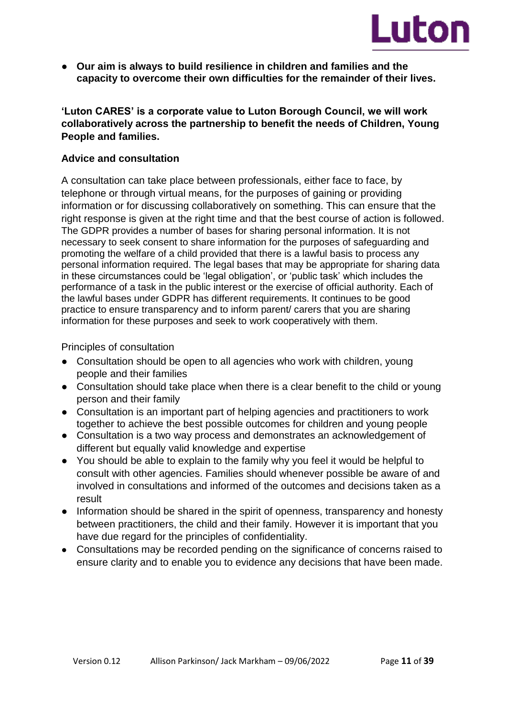

● **Our aim is always to build resilience in children and families and the capacity to overcome their own difficulties for the remainder of their lives.**

**'Luton CARES' is a corporate value to Luton Borough Council, we will work collaboratively across the partnership to benefit the needs of Children, Young People and families.** 

### **Advice and consultation**

A consultation can take place between professionals, either face to face, by telephone or through virtual means, for the purposes of gaining or providing information or for discussing collaboratively on something. This can ensure that the right response is given at the right time and that the best course of action is followed. The GDPR provides a number of bases for sharing personal information. It is not necessary to seek consent to share information for the purposes of safeguarding and promoting the welfare of a child provided that there is a lawful basis to process any personal information required. The legal bases that may be appropriate for sharing data in these circumstances could be 'legal obligation', or 'public task' which includes the performance of a task in the public interest or the exercise of official authority. Each of the lawful bases under GDPR has different requirements. It continues to be good practice to ensure transparency and to inform parent/ carers that you are sharing information for these purposes and seek to work cooperatively with them.

Principles of consultation

- Consultation should be open to all agencies who work with children, young people and their families
- Consultation should take place when there is a clear benefit to the child or young person and their family
- Consultation is an important part of helping agencies and practitioners to work together to achieve the best possible outcomes for children and young people
- Consultation is a two way process and demonstrates an acknowledgement of different but equally valid knowledge and expertise
- You should be able to explain to the family why you feel it would be helpful to consult with other agencies. Families should whenever possible be aware of and involved in consultations and informed of the outcomes and decisions taken as a result
- Information should be shared in the spirit of openness, transparency and honesty between practitioners, the child and their family. However it is important that you have due regard for the principles of confidentiality.
- Consultations may be recorded pending on the significance of concerns raised to ensure clarity and to enable you to evidence any decisions that have been made.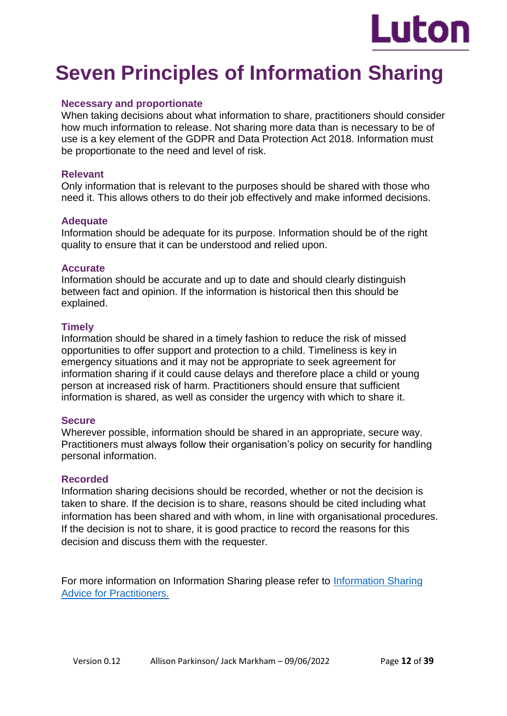

# **Seven Principles of Information Sharing**

### **Necessary and proportionate**

When taking decisions about what information to share, practitioners should consider how much information to release. Not sharing more data than is necessary to be of use is a key element of the GDPR and Data Protection Act 2018. Information must be proportionate to the need and level of risk.

### **Relevant**

Only information that is relevant to the purposes should be shared with those who need it. This allows others to do their job effectively and make informed decisions.

### **Adequate**

Information should be adequate for its purpose. Information should be of the right quality to ensure that it can be understood and relied upon.

### **Accurate**

Information should be accurate and up to date and should clearly distinguish between fact and opinion. If the information is historical then this should be explained.

### **Timely**

Information should be shared in a timely fashion to reduce the risk of missed opportunities to offer support and protection to a child. Timeliness is key in emergency situations and it may not be appropriate to seek agreement for information sharing if it could cause delays and therefore place a child or young person at increased risk of harm. Practitioners should ensure that sufficient information is shared, as well as consider the urgency with which to share it.

### **Secure**

Wherever possible, information should be shared in an appropriate, secure way. Practitioners must always follow their organisation's policy on security for handling personal information.

### **Recorded**

Information sharing decisions should be recorded, whether or not the decision is taken to share. If the decision is to share, reasons should be cited including what information has been shared and with whom, in line with organisational procedures. If the decision is not to share, it is good practice to record the reasons for this decision and discuss them with the requester.

For more information on Information Sharing please refer to [Information Sharing](https://www.gov.uk/government/publications/safeguarding-practitioners-information-sharing-advice)  [Advice for Practitioners.](https://www.gov.uk/government/publications/safeguarding-practitioners-information-sharing-advice)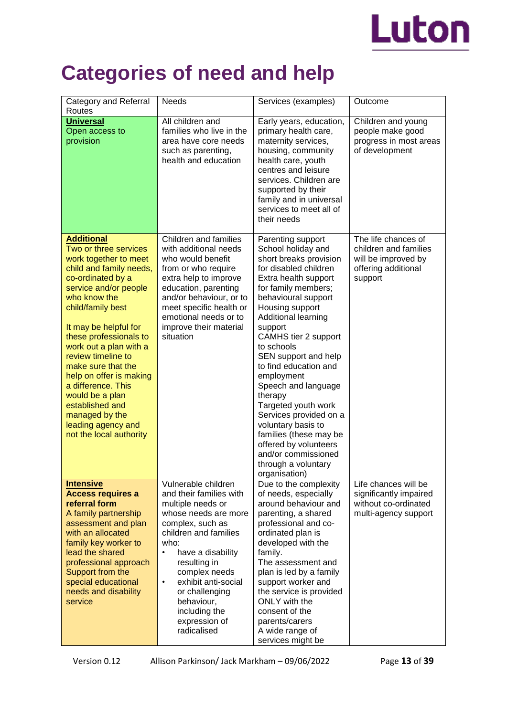

# **Categories of need and help**

| Category and Referral<br>Routes                                                                                                                                                                                                                                                                                                                                                                                                                                      | <b>Needs</b>                                                                                                                                                                                                                                                                                                                | Services (examples)                                                                                                                                                                                                                                                                                                                                                                                                                                                                                                                                   | Outcome                                                                                               |
|----------------------------------------------------------------------------------------------------------------------------------------------------------------------------------------------------------------------------------------------------------------------------------------------------------------------------------------------------------------------------------------------------------------------------------------------------------------------|-----------------------------------------------------------------------------------------------------------------------------------------------------------------------------------------------------------------------------------------------------------------------------------------------------------------------------|-------------------------------------------------------------------------------------------------------------------------------------------------------------------------------------------------------------------------------------------------------------------------------------------------------------------------------------------------------------------------------------------------------------------------------------------------------------------------------------------------------------------------------------------------------|-------------------------------------------------------------------------------------------------------|
| <b>Universal</b><br>Open access to<br>provision                                                                                                                                                                                                                                                                                                                                                                                                                      | All children and<br>families who live in the<br>area have core needs<br>such as parenting,<br>health and education                                                                                                                                                                                                          | Early years, education,<br>primary health care,<br>maternity services,<br>housing, community<br>health care, youth<br>centres and leisure<br>services. Children are<br>supported by their<br>family and in universal<br>services to meet all of<br>their needs                                                                                                                                                                                                                                                                                        | Children and young<br>people make good<br>progress in most areas<br>of development                    |
| <b>Additional</b><br>Two or three services<br>work together to meet<br>child and family needs,<br>co-ordinated by a<br>service and/or people<br>who know the<br>child/family best<br>It may be helpful for<br>these professionals to<br>work out a plan with a<br>review timeline to<br>make sure that the<br>help on offer is making<br>a difference. This<br>would be a plan<br>established and<br>managed by the<br>leading agency and<br>not the local authority | Children and families<br>with additional needs<br>who would benefit<br>from or who require<br>extra help to improve<br>education, parenting<br>and/or behaviour, or to<br>meet specific health or<br>emotional needs or to<br>improve their material<br>situation                                                           | Parenting support<br>School holiday and<br>short breaks provision<br>for disabled children<br>Extra health support<br>for family members;<br>behavioural support<br>Housing support<br>Additional learning<br>support<br>CAMHS tier 2 support<br>to schools<br>SEN support and help<br>to find education and<br>employment<br>Speech and language<br>therapy<br>Targeted youth work<br>Services provided on a<br>voluntary basis to<br>families (these may be<br>offered by volunteers<br>and/or commissioned<br>through a voluntary<br>organisation) | The life chances of<br>children and families<br>will be improved by<br>offering additional<br>support |
| <b>Intensive</b><br><b>Access requires a</b><br>referral form<br>A family partnership<br>assessment and plan<br>with an allocated<br>family key worker to<br>lead the shared<br>professional approach<br>Support from the<br>special educational<br>needs and disability<br>service                                                                                                                                                                                  | Vulnerable children<br>and their families with<br>multiple needs or<br>whose needs are more<br>complex, such as<br>children and families<br>who:<br>have a disability<br>resulting in<br>complex needs<br>exhibit anti-social<br>$\bullet$<br>or challenging<br>behaviour,<br>including the<br>expression of<br>radicalised | Due to the complexity<br>of needs, especially<br>around behaviour and<br>parenting, a shared<br>professional and co-<br>ordinated plan is<br>developed with the<br>family.<br>The assessment and<br>plan is led by a family<br>support worker and<br>the service is provided<br>ONLY with the<br>consent of the<br>parents/carers<br>A wide range of<br>services might be                                                                                                                                                                             | Life chances will be<br>significantly impaired<br>without co-ordinated<br>multi-agency support        |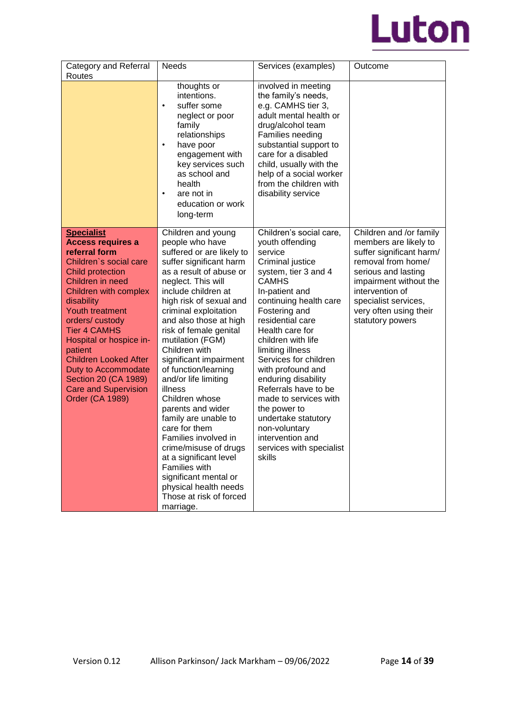

| Category and Referral<br>Routes                                                                                                                                                                                                                                                                                                                                                                                                 | <b>Needs</b>                                                                                                                                                                                                                                                                                                                                                                                                                                                                                                                                                                                                                                                                  | Services (examples)                                                                                                                                                                                                                                                                                                                                                                                                                                                                                     | Outcome                                                                                                                                                                                                                                      |
|---------------------------------------------------------------------------------------------------------------------------------------------------------------------------------------------------------------------------------------------------------------------------------------------------------------------------------------------------------------------------------------------------------------------------------|-------------------------------------------------------------------------------------------------------------------------------------------------------------------------------------------------------------------------------------------------------------------------------------------------------------------------------------------------------------------------------------------------------------------------------------------------------------------------------------------------------------------------------------------------------------------------------------------------------------------------------------------------------------------------------|---------------------------------------------------------------------------------------------------------------------------------------------------------------------------------------------------------------------------------------------------------------------------------------------------------------------------------------------------------------------------------------------------------------------------------------------------------------------------------------------------------|----------------------------------------------------------------------------------------------------------------------------------------------------------------------------------------------------------------------------------------------|
|                                                                                                                                                                                                                                                                                                                                                                                                                                 | thoughts or<br>intentions.<br>suffer some<br>$\bullet$<br>neglect or poor<br>family<br>relationships<br>have poor<br>$\bullet$<br>engagement with<br>key services such<br>as school and<br>health<br>are not in<br>$\bullet$<br>education or work<br>long-term                                                                                                                                                                                                                                                                                                                                                                                                                | involved in meeting<br>the family's needs,<br>e.g. CAMHS tier 3,<br>adult mental health or<br>drug/alcohol team<br>Families needing<br>substantial support to<br>care for a disabled<br>child, usually with the<br>help of a social worker<br>from the children with<br>disability service                                                                                                                                                                                                              |                                                                                                                                                                                                                                              |
| <b>Specialist</b><br><b>Access requires a</b><br>referral form<br>Children's social care<br><b>Child protection</b><br>Children in need<br>Children with complex<br>disability<br><b>Youth treatment</b><br>orders/custody<br><b>Tier 4 CAMHS</b><br>Hospital or hospice in-<br>patient<br><b>Children Looked After</b><br>Duty to Accommodate<br>Section 20 (CA 1989)<br><b>Care and Supervision</b><br><b>Order (CA 1989)</b> | Children and young<br>people who have<br>suffered or are likely to<br>suffer significant harm<br>as a result of abuse or<br>neglect. This will<br>include children at<br>high risk of sexual and<br>criminal exploitation<br>and also those at high<br>risk of female genital<br>mutilation (FGM)<br>Children with<br>significant impairment<br>of function/learning<br>and/or life limiting<br>illness<br>Children whose<br>parents and wider<br>family are unable to<br>care for them<br>Families involved in<br>crime/misuse of drugs<br>at a significant level<br>Families with<br>significant mental or<br>physical health needs<br>Those at risk of forced<br>marriage. | Children's social care,<br>youth offending<br>service<br>Criminal justice<br>system, tier 3 and 4<br><b>CAMHS</b><br>In-patient and<br>continuing health care<br>Fostering and<br>residential care<br>Health care for<br>children with life<br>limiting illness<br>Services for children<br>with profound and<br>enduring disability<br>Referrals have to be<br>made to services with<br>the power to<br>undertake statutory<br>non-voluntary<br>intervention and<br>services with specialist<br>skills | Children and /or family<br>members are likely to<br>suffer significant harm/<br>removal from home/<br>serious and lasting<br>impairment without the<br>intervention of<br>specialist services,<br>very often using their<br>statutory powers |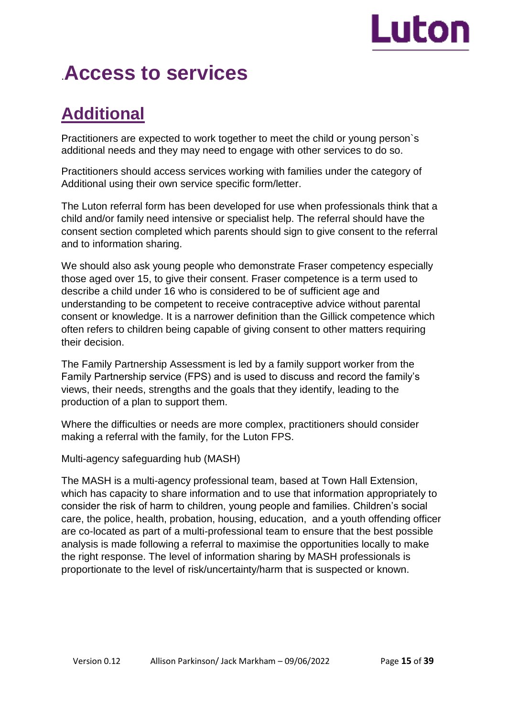# Luton

# .**Access to services**

# **Additional**

Practitioners are expected to work together to meet the child or young person`s additional needs and they may need to engage with other services to do so.

Practitioners should access services working with families under the category of Additional using their own service specific form/letter.

The Luton referral form has been developed for use when professionals think that a child and/or family need intensive or specialist help. The referral should have the consent section completed which parents should sign to give consent to the referral and to information sharing.

We should also ask young people who demonstrate Fraser competency especially those aged over 15, to give their consent. Fraser competence is a term used to describe a child under 16 who is considered to be of sufficient age and understanding to be competent to receive contraceptive advice without parental consent or knowledge. It is a narrower definition than the Gillick competence which often refers to children being capable of giving consent to other matters requiring their decision.

The Family Partnership Assessment is led by a family support worker from the Family Partnership service (FPS) and is used to discuss and record the family's views, their needs, strengths and the goals that they identify, leading to the production of a plan to support them.

Where the difficulties or needs are more complex, practitioners should consider making a referral with the family, for the Luton FPS.

Multi-agency safeguarding hub (MASH)

The MASH is a multi-agency professional team, based at Town Hall Extension, which has capacity to share information and to use that information appropriately to consider the risk of harm to children, young people and families. Children's social care, the police, health, probation, housing, education, and a youth offending officer are co-located as part of a multi-professional team to ensure that the best possible analysis is made following a referral to maximise the opportunities locally to make the right response. The level of information sharing by MASH professionals is proportionate to the level of risk/uncertainty/harm that is suspected or known.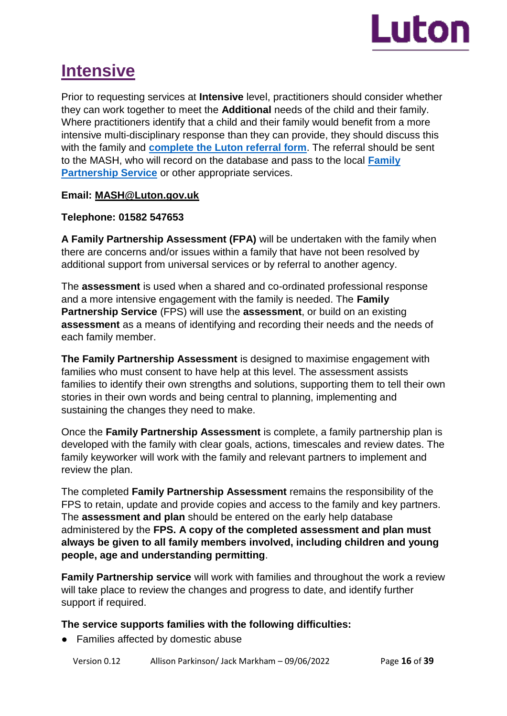

# **Intensive**

Prior to requesting services at **Intensive** level, practitioners should consider whether they can work together to meet the **Additional** needs of the child and their family. Where practitioners identify that a child and their family would benefit from a more intensive multi-disciplinary response than they can provide, they should discuss this with the family and **[complete the Luton referral form](https://m.luton.gov.uk/Page/Show/Health_and_social_care/safeguarding/safeguarding_children/Pages/default.aspx?redirectToMobile=True)**. The referral should be sent to the MASH, who will record on the database and pass to the local **[Family](https://m.luton.gov.uk/Page/Show/Health_and_social_care/children_and_family_services/Pages/luton-family-partnership-service.aspx)  [Partnership Service](https://m.luton.gov.uk/Page/Show/Health_and_social_care/children_and_family_services/Pages/luton-family-partnership-service.aspx)** or other appropriate services.

### **Email: MASH@Luton.gov.uk**

### **Telephone: 01582 547653**

**A Family Partnership Assessment (FPA)** will be undertaken with the family when there are concerns and/or issues within a family that have not been resolved by additional support from universal services or by referral to another agency.

The **assessment** is used when a shared and co-ordinated professional response and a more intensive engagement with the family is needed. The **Family Partnership Service** (FPS) will use the **assessment**, or build on an existing **assessment** as a means of identifying and recording their needs and the needs of each family member.

**The Family Partnership Assessment** is designed to maximise engagement with families who must consent to have help at this level. The assessment assists families to identify their own strengths and solutions, supporting them to tell their own stories in their own words and being central to planning, implementing and sustaining the changes they need to make.

Once the **Family Partnership Assessment** is complete, a family partnership plan is developed with the family with clear goals, actions, timescales and review dates. The family keyworker will work with the family and relevant partners to implement and review the plan.

The completed **Family Partnership Assessment** remains the responsibility of the FPS to retain, update and provide copies and access to the family and key partners. The **assessment and plan** should be entered on the early help database administered by the **FPS. A copy of the completed assessment and plan must always be given to all family members involved, including children and young people, age and understanding permitting**.

**Family Partnership service** will work with families and throughout the work a review will take place to review the changes and progress to date, and identify further support if required.

## **The service supports families with the following difficulties:**

● Families affected by domestic abuse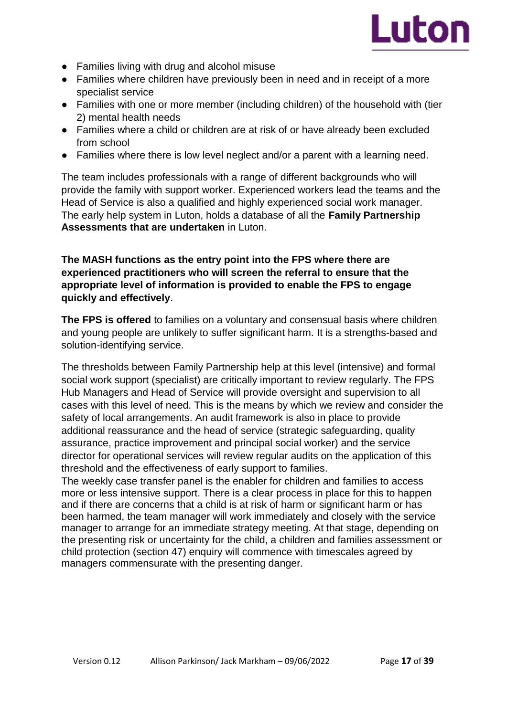

- Families living with drug and alcohol misuse
- Families where children have previously been in need and in receipt of a more specialist service
- Families with one or more member (including children) of the household with (tier 2) mental health needs
- Families where a child or children are at risk of or have already been excluded from school
- Families where there is low level neglect and/or a parent with a learning need.

The team includes professionals with a range of different backgrounds who will provide the family with support worker. Experienced workers lead the teams and the Head of Service is also a qualified and highly experienced social work manager. The early help system in Luton, holds a database of all the **Family Partnership Assessments that are undertaken** in Luton.

### **The MASH functions as the entry point into the FPS where there are experienced practitioners who will screen the referral to ensure that the appropriate level of information is provided to enable the FPS to engage quickly and effectively**.

**The FPS is offered** to families on a voluntary and consensual basis where children and young people are unlikely to suffer significant harm. It is a strengths-based and solution-identifying service.

The thresholds between Family Partnership help at this level (intensive) and formal social work support (specialist) are critically important to review regularly. The FPS Hub Managers and Head of Service will provide oversight and supervision to all cases with this level of need. This is the means by which we review and consider the safety of local arrangements. An audit framework is also in place to provide additional reassurance and the head of service (strategic safeguarding, quality assurance, practice improvement and principal social worker) and the service director for operational services will review regular audits on the application of this threshold and the effectiveness of early support to families.

The weekly case transfer panel is the enabler for children and families to access more or less intensive support. There is a clear process in place for this to happen and if there are concerns that a child is at risk of harm or significant harm or has been harmed, the team manager will work immediately and closely with the service manager to arrange for an immediate strategy meeting. At that stage, depending on the presenting risk or uncertainty for the child, a children and families assessment or child protection (section 47) enquiry will commence with timescales agreed by managers commensurate with the presenting danger.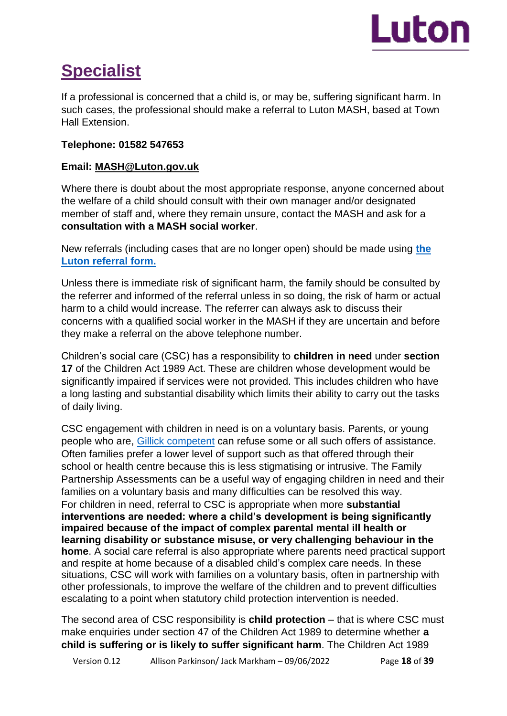

# **Specialist**

If a professional is concerned that a child is, or may be, suffering significant harm. In such cases, the professional should make a referral to Luton MASH, based at Town Hall Extension.

# **Telephone: 01582 547653**

# **Email: MASH@Luton.gov.uk**

Where there is doubt about the most appropriate response, anyone concerned about the welfare of a child should consult with their own manager and/or designated member of staff and, where they remain unsure, contact the MASH and ask for a **consultation with a MASH social worker**.

New referrals (including cases that are no longer open) should be made using **[the](https://m.luton.gov.uk/Page/Show/Health_and_social_care/safeguarding/safeguarding_children/Pages/default.aspx?redirectToMobile=True)  [Luton referral form.](https://m.luton.gov.uk/Page/Show/Health_and_social_care/safeguarding/safeguarding_children/Pages/default.aspx?redirectToMobile=True)**

Unless there is immediate risk of significant harm, the family should be consulted by the referrer and informed of the referral unless in so doing, the risk of harm or actual harm to a child would increase. The referrer can always ask to discuss their concerns with a qualified social worker in the MASH if they are uncertain and before they make a referral on the above telephone number.

Children's social care (CSC) has a responsibility to **children in need** under **section 17** of the Children Act 1989 Act. These are children whose development would be significantly impaired if services were not provided. This includes children who have a long lasting and substantial disability which limits their ability to carry out the tasks of daily living.

CSC engagement with children in need is on a voluntary basis. Parents, or young people who are, [Gillick competent](https://learning.nspcc.org.uk/child-protection-system/gillick-competence-fraser-guidelines) can refuse some or all such offers of assistance. Often families prefer a lower level of support such as that offered through their school or health centre because this is less stigmatising or intrusive. The Family Partnership Assessments can be a useful way of engaging children in need and their families on a voluntary basis and many difficulties can be resolved this way. For children in need, referral to CSC is appropriate when more **substantial interventions are needed: where a child's development is being significantly impaired because of the impact of complex parental mental ill health or learning disability or substance misuse, or very challenging behaviour in the home**. A social care referral is also appropriate where parents need practical support and respite at home because of a disabled child's complex care needs. In these situations, CSC will work with families on a voluntary basis, often in partnership with other professionals, to improve the welfare of the children and to prevent difficulties escalating to a point when statutory child protection intervention is needed.

The second area of CSC responsibility is **child protection** – that is where CSC must make enquiries under section 47 of the Children Act 1989 to determine whether **a child is suffering or is likely to suffer significant harm**. The Children Act 1989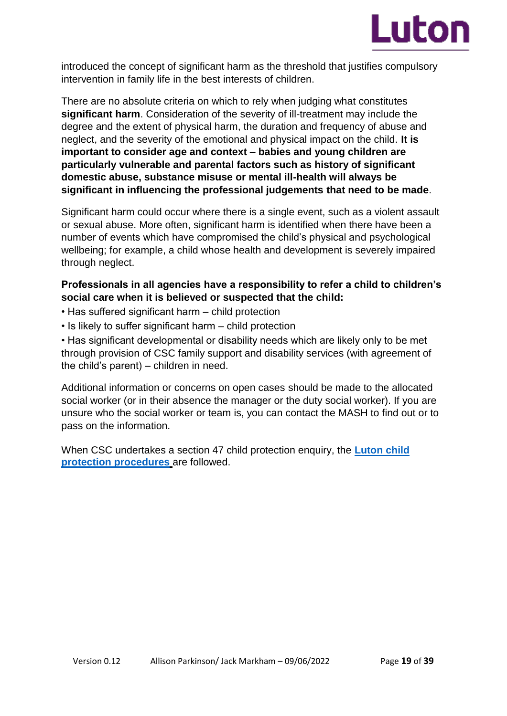

introduced the concept of significant harm as the threshold that justifies compulsory intervention in family life in the best interests of children.

There are no absolute criteria on which to rely when judging what constitutes **significant harm**. Consideration of the severity of ill-treatment may include the degree and the extent of physical harm, the duration and frequency of abuse and neglect, and the severity of the emotional and physical impact on the child. **It is important to consider age and context – babies and young children are particularly vulnerable and parental factors such as history of significant domestic abuse, substance misuse or mental ill-health will always be significant in influencing the professional judgements that need to be made**.

Significant harm could occur where there is a single event, such as a violent assault or sexual abuse. More often, significant harm is identified when there have been a number of events which have compromised the child's physical and psychological wellbeing; for example, a child whose health and development is severely impaired through neglect.

# **Professionals in all agencies have a responsibility to refer a child to children's social care when it is believed or suspected that the child:**

- Has suffered significant harm child protection
- Is likely to suffer significant harm child protection

• Has significant developmental or disability needs which are likely only to be met through provision of CSC family support and disability services (with agreement of the child's parent) – children in need.

Additional information or concerns on open cases should be made to the allocated social worker (or in their absence the manager or the duty social worker). If you are unsure who the social worker or team is, you can contact the MASH to find out or to pass on the information.

When CSC undertakes a section 47 child protection enquiry, the **[Luton child](https://bedfordscb.proceduresonline.com/p_bedford_cp_conf.html?zoom_highlight=Luton+child+protection+procedures)  [protection procedures](https://bedfordscb.proceduresonline.com/p_bedford_cp_conf.html?zoom_highlight=Luton+child+protection+procedures)** are followed.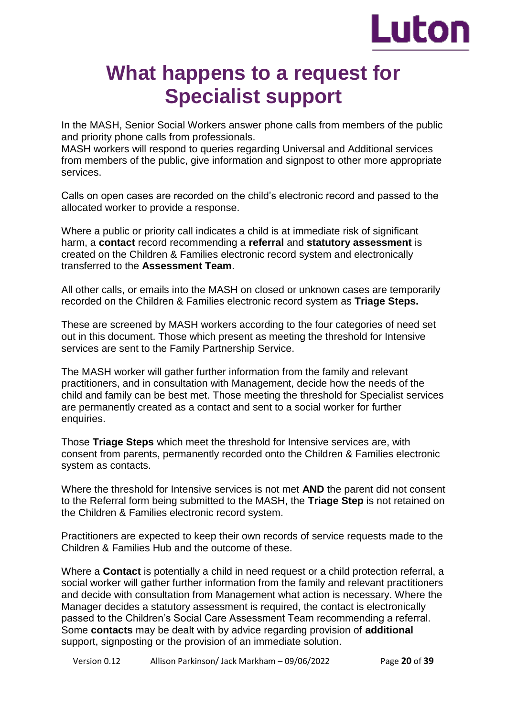

# **What happens to a request for Specialist support**

In the MASH, Senior Social Workers answer phone calls from members of the public and priority phone calls from professionals.

MASH workers will respond to queries regarding Universal and Additional services from members of the public, give information and signpost to other more appropriate services.

Calls on open cases are recorded on the child's electronic record and passed to the allocated worker to provide a response.

Where a public or priority call indicates a child is at immediate risk of significant harm, a **contact** record recommending a **referral** and **statutory assessment** is created on the Children & Families electronic record system and electronically transferred to the **Assessment Team**.

All other calls, or emails into the MASH on closed or unknown cases are temporarily recorded on the Children & Families electronic record system as **Triage Steps.** 

These are screened by MASH workers according to the four categories of need set out in this document. Those which present as meeting the threshold for Intensive services are sent to the Family Partnership Service.

The MASH worker will gather further information from the family and relevant practitioners, and in consultation with Management, decide how the needs of the child and family can be best met. Those meeting the threshold for Specialist services are permanently created as a contact and sent to a social worker for further enquiries.

Those **Triage Steps** which meet the threshold for Intensive services are, with consent from parents, permanently recorded onto the Children & Families electronic system as contacts.

Where the threshold for Intensive services is not met **AND** the parent did not consent to the Referral form being submitted to the MASH, the **Triage Step** is not retained on the Children & Families electronic record system.

Practitioners are expected to keep their own records of service requests made to the Children & Families Hub and the outcome of these.

Where a **Contact** is potentially a child in need request or a child protection referral, a social worker will gather further information from the family and relevant practitioners and decide with consultation from Management what action is necessary. Where the Manager decides a statutory assessment is required, the contact is electronically passed to the Children's Social Care Assessment Team recommending a referral. Some **contacts** may be dealt with by advice regarding provision of **additional**  support, signposting or the provision of an immediate solution.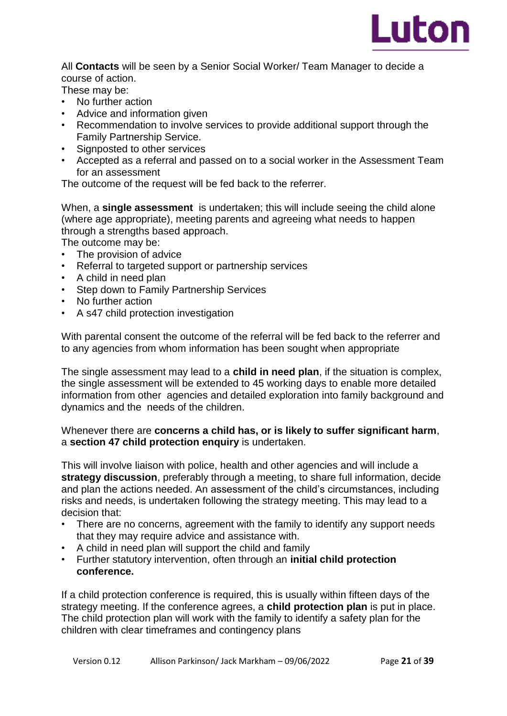

All **Contacts** will be seen by a Senior Social Worker/ Team Manager to decide a course of action.

These may be:

- No further action
- Advice and information given
- Recommendation to involve services to provide additional support through the Family Partnership Service.
- Signposted to other services
- Accepted as a referral and passed on to a social worker in the Assessment Team for an assessment

The outcome of the request will be fed back to the referrer.

When, a **single assessment** is undertaken; this will include seeing the child alone (where age appropriate), meeting parents and agreeing what needs to happen through a strengths based approach.

The outcome may be:

- The provision of advice
- Referral to targeted support or partnership services
- A child in need plan
- Step down to Family Partnership Services
- No further action
- A s47 child protection investigation

With parental consent the outcome of the referral will be fed back to the referrer and to any agencies from whom information has been sought when appropriate

The single assessment may lead to a **child in need plan**, if the situation is complex, the single assessment will be extended to 45 working days to enable more detailed information from other agencies and detailed exploration into family background and dynamics and the needs of the children.

### Whenever there are **concerns a child has, or is likely to suffer significant harm**, a **section 47 child protection enquiry** is undertaken.

This will involve liaison with police, health and other agencies and will include a **strategy discussion**, preferably through a meeting, to share full information, decide and plan the actions needed. An assessment of the child's circumstances, including risks and needs, is undertaken following the strategy meeting. This may lead to a decision that:

- There are no concerns, agreement with the family to identify any support needs that they may require advice and assistance with.
- A child in need plan will support the child and family
- Further statutory intervention, often through an **initial child protection conference.**

If a child protection conference is required, this is usually within fifteen days of the strategy meeting. If the conference agrees, a **child protection plan** is put in place. The child protection plan will work with the family to identify a safety plan for the children with clear timeframes and contingency plans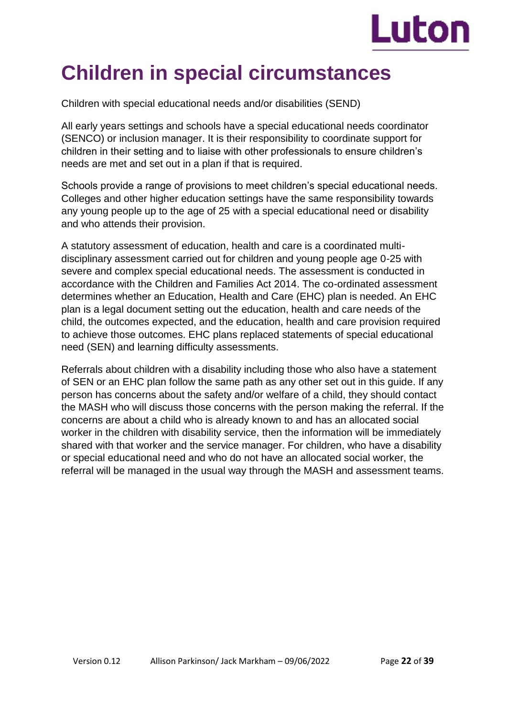

# **Children in special circumstances**

Children with special educational needs and/or disabilities (SEND)

All early years settings and schools have a special educational needs coordinator (SENCO) or inclusion manager. It is their responsibility to coordinate support for children in their setting and to liaise with other professionals to ensure children's needs are met and set out in a plan if that is required.

Schools provide a range of provisions to meet children's special educational needs. Colleges and other higher education settings have the same responsibility towards any young people up to the age of 25 with a special educational need or disability and who attends their provision.

A statutory assessment of education, health and care is a coordinated multidisciplinary assessment carried out for children and young people age 0-25 with severe and complex special educational needs. The assessment is conducted in accordance with the Children and Families Act 2014. The co-ordinated assessment determines whether an Education, Health and Care (EHC) plan is needed. An EHC plan is a legal document setting out the education, health and care needs of the child, the outcomes expected, and the education, health and care provision required to achieve those outcomes. EHC plans replaced statements of special educational need (SEN) and learning difficulty assessments.

Referrals about children with a disability including those who also have a statement of SEN or an EHC plan follow the same path as any other set out in this guide. If any person has concerns about the safety and/or welfare of a child, they should contact the MASH who will discuss those concerns with the person making the referral. If the concerns are about a child who is already known to and has an allocated social worker in the children with disability service, then the information will be immediately shared with that worker and the service manager. For children, who have a disability or special educational need and who do not have an allocated social worker, the referral will be managed in the usual way through the MASH and assessment teams.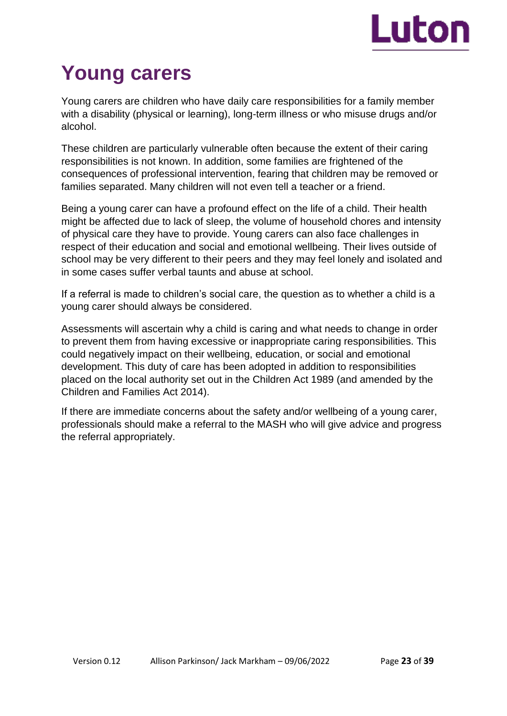

# **Young carers**

Young carers are children who have daily care responsibilities for a family member with a disability (physical or learning), long-term illness or who misuse drugs and/or alcohol.

These children are particularly vulnerable often because the extent of their caring responsibilities is not known. In addition, some families are frightened of the consequences of professional intervention, fearing that children may be removed or families separated. Many children will not even tell a teacher or a friend.

Being a young carer can have a profound effect on the life of a child. Their health might be affected due to lack of sleep, the volume of household chores and intensity of physical care they have to provide. Young carers can also face challenges in respect of their education and social and emotional wellbeing. Their lives outside of school may be very different to their peers and they may feel lonely and isolated and in some cases suffer verbal taunts and abuse at school.

If a referral is made to children's social care, the question as to whether a child is a young carer should always be considered.

Assessments will ascertain why a child is caring and what needs to change in order to prevent them from having excessive or inappropriate caring responsibilities. This could negatively impact on their wellbeing, education, or social and emotional development. This duty of care has been adopted in addition to responsibilities placed on the local authority set out in the Children Act 1989 (and amended by the Children and Families Act 2014).

If there are immediate concerns about the safety and/or wellbeing of a young carer, professionals should make a referral to the MASH who will give advice and progress the referral appropriately.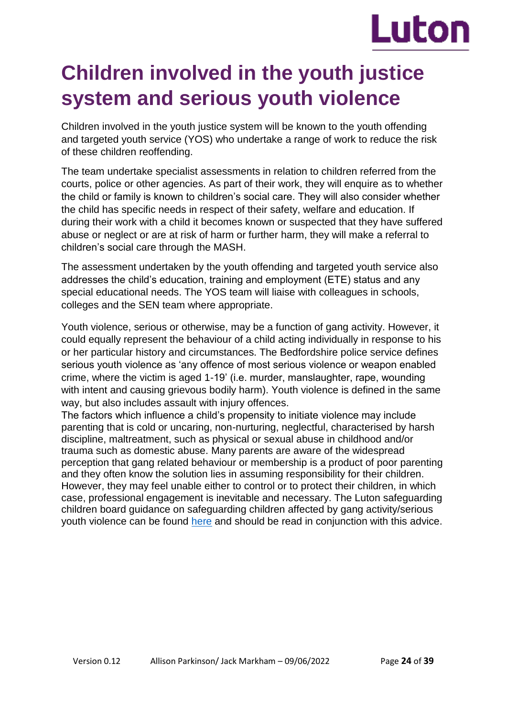# Luton

# **Children involved in the youth justice system and serious youth violence**

Children involved in the youth justice system will be known to the youth offending and targeted youth service (YOS) who undertake a range of work to reduce the risk of these children reoffending.

The team undertake specialist assessments in relation to children referred from the courts, police or other agencies. As part of their work, they will enquire as to whether the child or family is known to children's social care. They will also consider whether the child has specific needs in respect of their safety, welfare and education. If during their work with a child it becomes known or suspected that they have suffered abuse or neglect or are at risk of harm or further harm, they will make a referral to children's social care through the MASH.

The assessment undertaken by the youth offending and targeted youth service also addresses the child's education, training and employment (ETE) status and any special educational needs. The YOS team will liaise with colleagues in schools, colleges and the SEN team where appropriate.

Youth violence, serious or otherwise, may be a function of gang activity. However, it could equally represent the behaviour of a child acting individually in response to his or her particular history and circumstances. The Bedfordshire police service defines serious youth violence as 'any offence of most serious violence or weapon enabled crime, where the victim is aged 1-19' (i.e. murder, manslaughter, rape, wounding with intent and causing grievous bodily harm). Youth violence is defined in the same way, but also includes assault with injury offences.

The factors which influence a child's propensity to initiate violence may include parenting that is cold or uncaring, non-nurturing, neglectful, characterised by harsh discipline, maltreatment, such as physical or sexual abuse in childhood and/or trauma such as domestic abuse. Many parents are aware of the widespread perception that gang related behaviour or membership is a product of poor parenting and they often know the solution lies in assuming responsibility for their children. However, they may feel unable either to control or to protect their children, in which case, professional engagement is inevitable and necessary. The Luton safeguarding children board guidance on safeguarding children affected by gang activity/serious youth violence can be found [here](https://bedfordscb.proceduresonline.com/p_safeg_gang.html?zoom_highlight=youth+violence) and should be read in conjunction with this advice.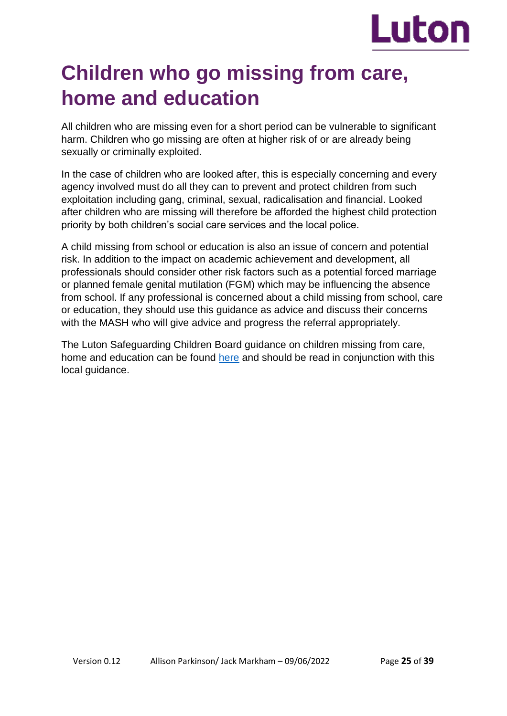

# **Children who go missing from care, home and education**

All children who are missing even for a short period can be vulnerable to significant harm. Children who go missing are often at higher risk of or are already being sexually or criminally exploited.

In the case of children who are looked after, this is especially concerning and every agency involved must do all they can to prevent and protect children from such exploitation including gang, criminal, sexual, radicalisation and financial. Looked after children who are missing will therefore be afforded the highest child protection priority by both children's social care services and the local police.

A child missing from school or education is also an issue of concern and potential risk. In addition to the impact on academic achievement and development, all professionals should consider other risk factors such as a potential forced marriage or planned female genital mutilation (FGM) which may be influencing the absence from school. If any professional is concerned about a child missing from school, care or education, they should use this guidance as advice and discuss their concerns with the MASH who will give advice and progress the referral appropriately.

The Luton Safeguarding Children Board guidance on children missing from care, home and education can be found [here](https://bedfordscb.proceduresonline.com/p_missing_home_care.html?zoom_highlight=missing) and should be read in conjunction with this local guidance.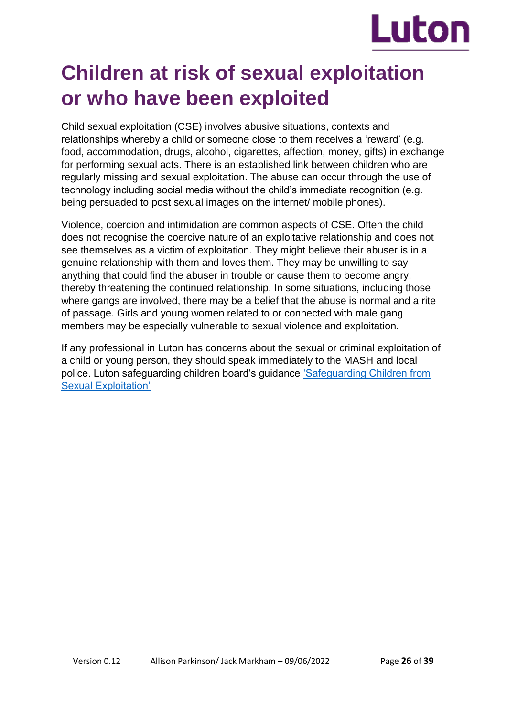

# **Children at risk of sexual exploitation or who have been exploited**

Child sexual exploitation (CSE) involves abusive situations, contexts and relationships whereby a child or someone close to them receives a 'reward' (e.g. food, accommodation, drugs, alcohol, cigarettes, affection, money, gifts) in exchange for performing sexual acts. There is an established link between children who are regularly missing and sexual exploitation. The abuse can occur through the use of technology including social media without the child's immediate recognition (e.g. being persuaded to post sexual images on the internet/ mobile phones).

Violence, coercion and intimidation are common aspects of CSE. Often the child does not recognise the coercive nature of an exploitative relationship and does not see themselves as a victim of exploitation. They might believe their abuser is in a genuine relationship with them and loves them. They may be unwilling to say anything that could find the abuser in trouble or cause them to become angry, thereby threatening the continued relationship. In some situations, including those where gangs are involved, there may be a belief that the abuse is normal and a rite of passage. Girls and young women related to or connected with male gang members may be especially vulnerable to sexual violence and exploitation.

If any professional in Luton has concerns about the sexual or criminal exploitation of a child or young person, they should speak immediately to the MASH and local police. Luton safeguarding children board's guidance ['Safeguarding Children from](https://lutonlscb.org.uk/parents/child-sexual-exploitation/)  [Sexual Exploitation'](https://lutonlscb.org.uk/parents/child-sexual-exploitation/)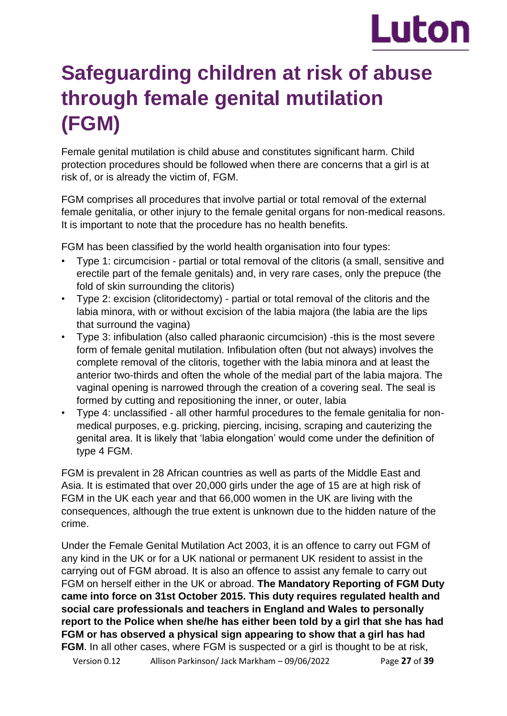# Luton

# **Safeguarding children at risk of abuse through female genital mutilation (FGM)**

Female genital mutilation is child abuse and constitutes significant harm. Child protection procedures should be followed when there are concerns that a girl is at risk of, or is already the victim of, FGM.

FGM comprises all procedures that involve partial or total removal of the external female genitalia, or other injury to the female genital organs for non-medical reasons. It is important to note that the procedure has no health benefits.

FGM has been classified by the world health organisation into four types:

- Type 1: circumcision partial or total removal of the clitoris (a small, sensitive and erectile part of the female genitals) and, in very rare cases, only the prepuce (the fold of skin surrounding the clitoris)
- Type 2: excision (clitoridectomy) partial or total removal of the clitoris and the labia minora, with or without excision of the labia majora (the labia are the lips that surround the vagina)
- Type 3: infibulation (also called pharaonic circumcision) -this is the most severe form of female genital mutilation. Infibulation often (but not always) involves the complete removal of the clitoris, together with the labia minora and at least the anterior two-thirds and often the whole of the medial part of the labia majora. The vaginal opening is narrowed through the creation of a covering seal. The seal is formed by cutting and repositioning the inner, or outer, labia
- Type 4: unclassified all other harmful procedures to the female genitalia for nonmedical purposes, e.g. pricking, piercing, incising, scraping and cauterizing the genital area. It is likely that 'labia elongation' would come under the definition of type 4 FGM.

FGM is prevalent in 28 African countries as well as parts of the Middle East and Asia. It is estimated that over 20,000 girls under the age of 15 are at high risk of FGM in the UK each year and that 66,000 women in the UK are living with the consequences, although the true extent is unknown due to the hidden nature of the crime.

Under the Female Genital Mutilation Act 2003, it is an offence to carry out FGM of any kind in the UK or for a UK national or permanent UK resident to assist in the carrying out of FGM abroad. It is also an offence to assist any female to carry out FGM on herself either in the UK or abroad. **The Mandatory Reporting of FGM Duty came into force on 31st October 2015. This duty requires regulated health and social care professionals and teachers in England and Wales to personally report to the Police when she/he has either been told by a girl that she has had FGM or has observed a physical sign appearing to show that a girl has had FGM**. In all other cases, where FGM is suspected or a girl is thought to be at risk,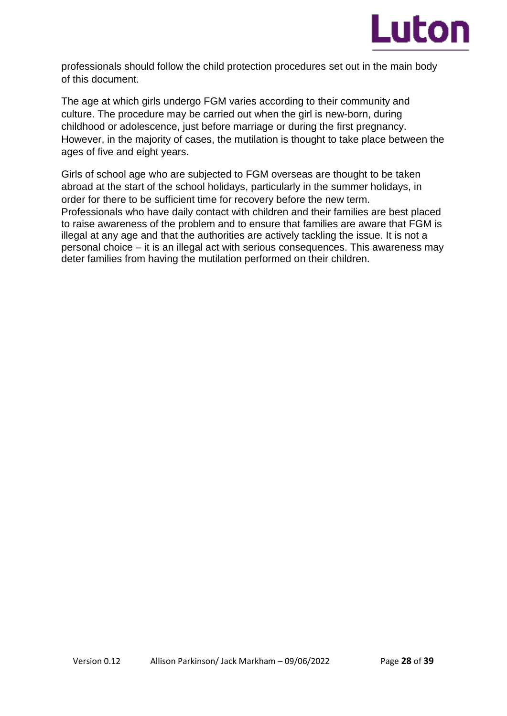

professionals should follow the child protection procedures set out in the main body of this document.

The age at which girls undergo FGM varies according to their community and culture. The procedure may be carried out when the girl is new-born, during childhood or adolescence, just before marriage or during the first pregnancy. However, in the majority of cases, the mutilation is thought to take place between the ages of five and eight years.

Girls of school age who are subjected to FGM overseas are thought to be taken abroad at the start of the school holidays, particularly in the summer holidays, in order for there to be sufficient time for recovery before the new term. Professionals who have daily contact with children and their families are best placed to raise awareness of the problem and to ensure that families are aware that FGM is illegal at any age and that the authorities are actively tackling the issue. It is not a personal choice – it is an illegal act with serious consequences. This awareness may deter families from having the mutilation performed on their children.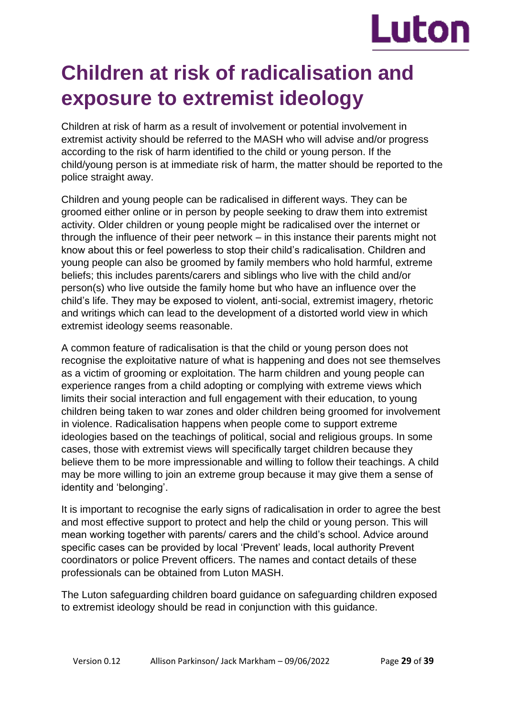

# **Children at risk of radicalisation and exposure to extremist ideology**

Children at risk of harm as a result of involvement or potential involvement in extremist activity should be referred to the MASH who will advise and/or progress according to the risk of harm identified to the child or young person. If the child/young person is at immediate risk of harm, the matter should be reported to the police straight away.

Children and young people can be radicalised in different ways. They can be groomed either online or in person by people seeking to draw them into extremist activity. Older children or young people might be radicalised over the internet or through the influence of their peer network – in this instance their parents might not know about this or feel powerless to stop their child's radicalisation. Children and young people can also be groomed by family members who hold harmful, extreme beliefs; this includes parents/carers and siblings who live with the child and/or person(s) who live outside the family home but who have an influence over the child's life. They may be exposed to violent, anti-social, extremist imagery, rhetoric and writings which can lead to the development of a distorted world view in which extremist ideology seems reasonable.

A common feature of radicalisation is that the child or young person does not recognise the exploitative nature of what is happening and does not see themselves as a victim of grooming or exploitation. The harm children and young people can experience ranges from a child adopting or complying with extreme views which limits their social interaction and full engagement with their education, to young children being taken to war zones and older children being groomed for involvement in violence. Radicalisation happens when people come to support extreme ideologies based on the teachings of political, social and religious groups. In some cases, those with extremist views will specifically target children because they believe them to be more impressionable and willing to follow their teachings. A child may be more willing to join an extreme group because it may give them a sense of identity and 'belonging'.

It is important to recognise the early signs of radicalisation in order to agree the best and most effective support to protect and help the child or young person. This will mean working together with parents/ carers and the child's school. Advice around specific cases can be provided by local 'Prevent' leads, local authority Prevent coordinators or police Prevent officers. The names and contact details of these professionals can be obtained from Luton MASH.

The Luton safeguarding children board guidance on safeguarding children exposed to extremist ideology should be read in conjunction with this guidance.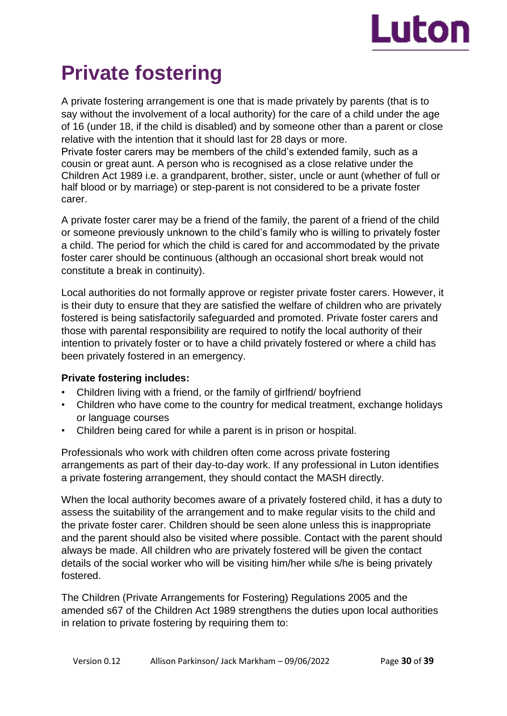

# **Private fostering**

A private fostering arrangement is one that is made privately by parents (that is to say without the involvement of a local authority) for the care of a child under the age of 16 (under 18, if the child is disabled) and by someone other than a parent or close relative with the intention that it should last for 28 days or more. Private foster carers may be members of the child's extended family, such as a cousin or great aunt. A person who is recognised as a close relative under the Children Act 1989 i.e. a grandparent, brother, sister, uncle or aunt (whether of full or half blood or by marriage) or step-parent is not considered to be a private foster carer.

A private foster carer may be a friend of the family, the parent of a friend of the child or someone previously unknown to the child's family who is willing to privately foster a child. The period for which the child is cared for and accommodated by the private foster carer should be continuous (although an occasional short break would not constitute a break in continuity).

Local authorities do not formally approve or register private foster carers. However, it is their duty to ensure that they are satisfied the welfare of children who are privately fostered is being satisfactorily safeguarded and promoted. Private foster carers and those with parental responsibility are required to notify the local authority of their intention to privately foster or to have a child privately fostered or where a child has been privately fostered in an emergency.

## **Private fostering includes:**

- Children living with a friend, or the family of girlfriend/ boyfriend
- Children who have come to the country for medical treatment, exchange holidays or language courses
- Children being cared for while a parent is in prison or hospital.

Professionals who work with children often come across private fostering arrangements as part of their day-to-day work. If any professional in Luton identifies a private fostering arrangement, they should contact the MASH directly.

When the local authority becomes aware of a privately fostered child, it has a duty to assess the suitability of the arrangement and to make regular visits to the child and the private foster carer. Children should be seen alone unless this is inappropriate and the parent should also be visited where possible. Contact with the parent should always be made. All children who are privately fostered will be given the contact details of the social worker who will be visiting him/her while s/he is being privately fostered.

The Children (Private Arrangements for Fostering) Regulations 2005 and the amended s67 of the Children Act 1989 strengthens the duties upon local authorities in relation to private fostering by requiring them to: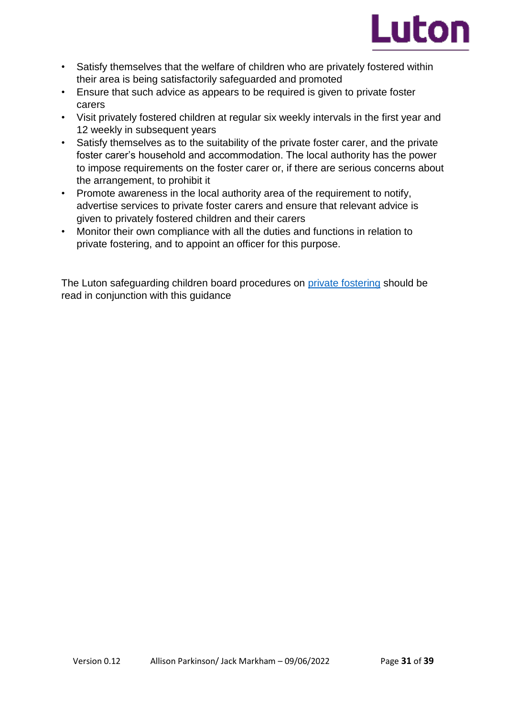

- Satisfy themselves that the welfare of children who are privately fostered within their area is being satisfactorily safeguarded and promoted
- Ensure that such advice as appears to be required is given to private foster carers
- Visit privately fostered children at regular six weekly intervals in the first year and 12 weekly in subsequent years
- Satisfy themselves as to the suitability of the private foster carer, and the private foster carer's household and accommodation. The local authority has the power to impose requirements on the foster carer or, if there are serious concerns about the arrangement, to prohibit it
- Promote awareness in the local authority area of the requirement to notify, advertise services to private foster carers and ensure that relevant advice is given to privately fostered children and their carers
- Monitor their own compliance with all the duties and functions in relation to private fostering, and to appoint an officer for this purpose.

The Luton safeguarding children board procedures on [private fostering](https://lutonlscb.org.uk/professionals/private-fostering/) should be read in conjunction with this guidance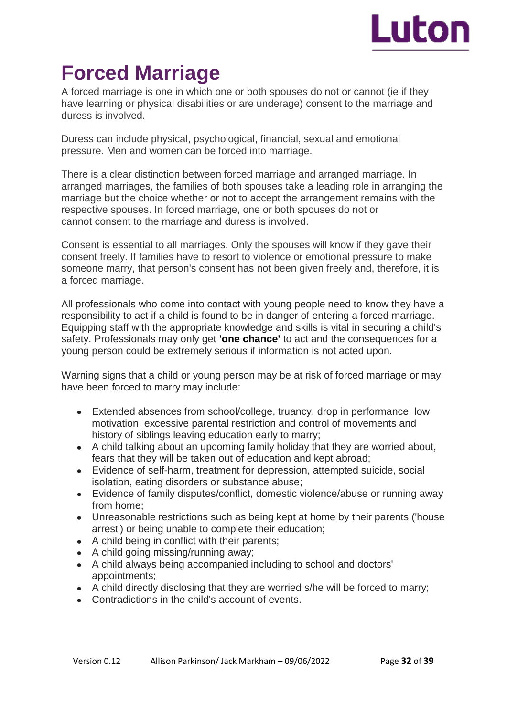

# **Forced Marriage**

A forced marriage is one in which one or both spouses do not or cannot (ie if they have learning or physical disabilities or are underage) consent to the marriage and duress is involved.

Duress can include physical, psychological, financial, sexual and emotional pressure. Men and women can be forced into marriage.

There is a clear distinction between forced marriage and arranged marriage. In arranged marriages, the families of both spouses take a leading role in arranging the marriage but the choice whether or not to accept the arrangement remains with the respective spouses. In forced marriage, one or both spouses do not or cannot consent to the marriage and duress is involved.

Consent is essential to all marriages. Only the spouses will know if they gave their consent freely. If families have to resort to violence or emotional pressure to make someone marry, that person's consent has not been given freely and, therefore, it is a forced marriage.

All professionals who come into contact with young people need to know they have a responsibility to act if a child is found to be in danger of entering a forced marriage. Equipping staff with the appropriate knowledge and skills is vital in securing a child's safety. Professionals may only get **'one chance'** to act and the consequences for a young person could be extremely serious if information is not acted upon.

Warning signs that a child or young person may be at risk of forced marriage or may have been forced to marry may include:

- Extended absences from school/college, truancy, drop in performance, low motivation, excessive parental restriction and control of movements and history of siblings leaving education early to marry;
- A child talking about an upcoming family holiday that they are worried about, fears that they will be taken out of education and kept abroad;
- Evidence of self-harm, treatment for depression, attempted suicide, social isolation, eating disorders or substance abuse;
- Evidence of family disputes/conflict, domestic violence/abuse or running away from home;
- Unreasonable restrictions such as being kept at home by their parents ('house arrest') or being unable to complete their education;
- A child being in conflict with their parents;
- $\bullet$  A child going missing/running away;
- A child always being accompanied including to school and doctors' appointments;
- A child directly disclosing that they are worried s/he will be forced to marry;
- Contradictions in the child's account of events.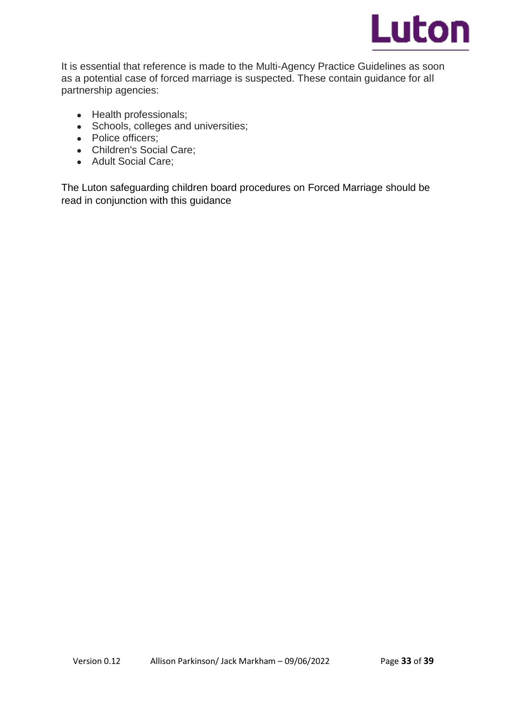

It is essential that reference is made to the Multi-Agency Practice Guidelines as soon as a potential case of forced marriage is suspected. These contain guidance for all partnership agencies:

- Health professionals;
- Schools, colleges and universities;
- Police officers;
- Children's Social Care:
- Adult Social Care;

The Luton safeguarding children board procedures on Forced Marriage should be read in conjunction with this guidance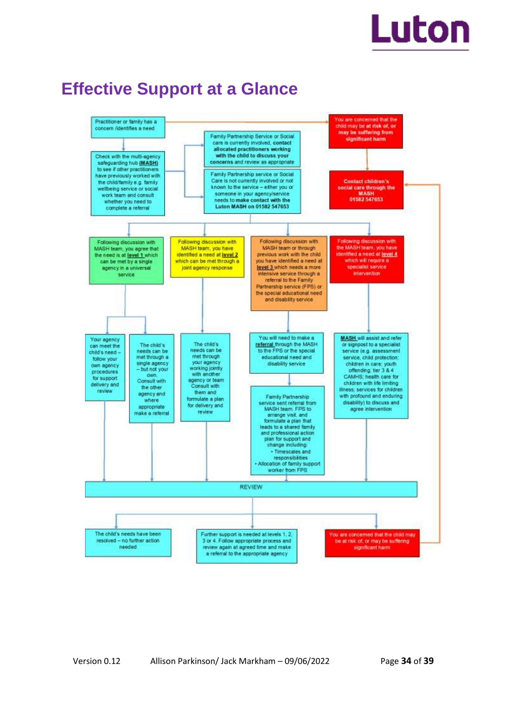# Luton

# **Effective Support at a Glance**

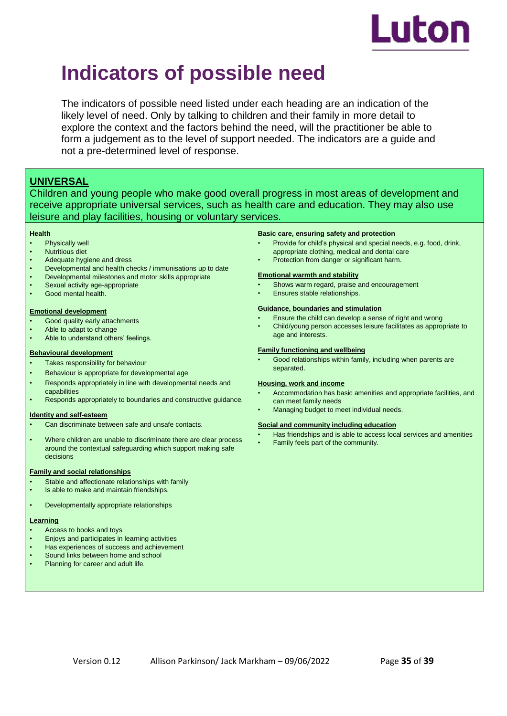

# **Indicators of possible need**

The indicators of possible need listed under each heading are an indication of the likely level of need. Only by talking to children and their family in more detail to explore the context and the factors behind the need, will the practitioner be able to form a judgement as to the level of support needed. The indicators are a guide and not a pre-determined level of response.

# **UNIVERSAL**

Children and young people who make good overall progress in most areas of development and receive appropriate universal services, such as health care and education. They may also use leisure and play facilities, housing or voluntary services.

#### **Health**

- Physically well
- Nutritious diet
- Adequate hygiene and dress
- Developmental and health checks / immunisations up to date
- Developmental milestones and motor skills appropriate
- Sexual activity age-appropriate
- Good mental health.

#### **Emotional development**

- Good quality early attachments
- Able to adapt to change
- Able to understand others' feelings.

#### **Behavioural development**

- Takes responsibility for behaviour
- Behaviour is appropriate for developmental age
- Responds appropriately in line with developmental needs and capabilities
- Responds appropriately to boundaries and constructive guidance.

#### **Identity and self-esteem**

- Can discriminate between safe and unsafe contacts.
- Where children are unable to discriminate there are clear process around the contextual safeguarding which support making safe decisions

#### **Family and social relationships**

- Stable and affectionate relationships with family
- Is able to make and maintain friendships.
- Developmentally appropriate relationships

#### **Learning**

- Access to books and toys
- Enjoys and participates in learning activities
- Has experiences of success and achievement
- Sound links between home and school Planning for career and adult life.

#### **Basic care, ensuring safety and protection**

- Provide for child's physical and special needs, e.g. food, drink, appropriate clothing, medical and dental care
- Protection from danger or significant harm.

#### **Emotional warmth and stability**

- Shows warm regard, praise and encouragement
- Ensures stable relationships.

#### **Guidance, boundaries and stimulation**

- Ensure the child can develop a sense of right and wrong
- Child/young person accesses leisure facilitates as appropriate to age and interests.

#### **Family functioning and wellbeing**

• Good relationships within family, including when parents are separated.

#### **Housing, work and income**

- Accommodation has basic amenities and appropriate facilities, and can meet family needs
- Managing budget to meet individual needs.

#### **Social and community including education**

- Has friendships and is able to access local services and amenities
- Family feels part of the community.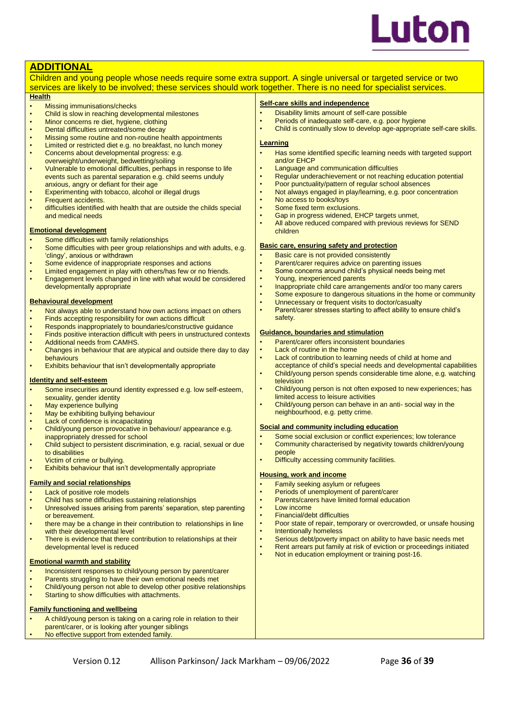

### **ADDITIONAL**

Children and young people whose needs require some extra support. A single universal or targeted service or two services are likely to be involved; these services should work together. There is no need for specialist services.

#### **Health**

- **Missing immunisations/checks**
- Child is slow in reaching developmental milestones
- Minor concerns re diet, hygiene, clothing
- Dental difficulties untreated/some decay
- Missing some routine and non-routine health appointments
- Limited or restricted diet e.g. no breakfast, no lunch money
- Concerns about developmental progress: e.g. overweight/underweight, bedwetting/soiling
- Vulnerable to emotional difficulties, perhaps in response to life events such as parental separation e.g. child seems unduly anxious, angry or defiant for their age
- Experimenting with tobacco, alcohol or illegal drugs
- **Frequent accidents.**
- difficulties identified with health that are outside the childs special and medical needs

#### **Emotional development**

- Some difficulties with family relationships
- Some difficulties with peer group relationships and with adults, e.g. 'clingy', anxious or withdrawn
- Some evidence of inappropriate responses and actions
- Limited engagement in play with others/has few or no friends.
- Engagement levels changed in line with what would be considered developmentally appropriate

#### **Behavioural development**

- Not always able to understand how own actions impact on others
- Finds accepting responsibility for own actions difficult
- Responds inappropriately to boundaries/constructive guidance
- Finds positive interaction difficult with peers in unstructured contexts • Additional needs from CAMHS.
- Changes in behaviour that are atypical and outside there day to day behaviours
- Exhibits behaviour that isn't developmentally appropriate

#### **Identity and self-esteem**

- Some insecurities around identity expressed e.g. low self-esteem, sexuality, gender identity
- May experience bullying
- May be exhibiting bullying behaviour
- Lack of confidence is incapacitating
- Child/young person provocative in behaviour/ appearance e.g. inappropriately dressed for school
- Child subject to persistent discrimination, e.g. racial, sexual or due to disabilities
- Victim of crime or bullying.
- Exhibits behaviour that isn't developmentally appropriate

#### **Family and social relationships**

- Lack of positive role models
- Child has some difficulties sustaining relationships
- Unresolved issues arising from parents' separation, step parenting or bereavement.
- there may be a change in their contribution to relationships in line with their developmental level
- There is evidence that there contribution to relationships at their developmental level is reduced

#### **Emotional warmth and stability**

- Inconsistent responses to child/young person by parent/carer
- Parents struggling to have their own emotional needs met
- Child/young person not able to develop other positive relationships
- Starting to show difficulties with attachments.

#### **Family functioning and wellbeing**

- A child/young person is taking on a caring role in relation to their
- parent/carer, or is looking after younger siblings
- No effective support from extended family

# Version 0.12 Allison Parkinson/ Jack Markham – 09/06/2022 Page **36** of **39**

### **Self-care skills and independence**

- Disability limits amount of self-care possible
- Periods of inadequate self-care, e.g. poor hygiene
- Child is continually slow to develop age-appropriate self-care skills.

#### **Learning**

- Has some identified specific learning needs with targeted support and/or EHCP
- Language and communication difficulties
- Regular underachievement or not reaching education potential
- Poor punctuality/pattern of regular school absences
- Not always engaged in play/learning, e.g. poor concentration
- No access to books/toys
- Some fixed term exclusions.
- Gap in progress widened, EHCP targets unmet,
- All above reduced compared with previous reviews for SEND children

#### **Basic care, ensuring safety and protection**

- Basic care is not provided consistently
- Parent/carer requires advice on parenting issues
	- Some concerns around child's physical needs being met
- Young, inexperienced parents
- Inappropriate child care arrangements and/or too many carers
- Some exposure to dangerous situations in the home or community
- Unnecessary or frequent visits to doctor/casualty
- Parent/carer stresses starting to affect ability to ensure child's safety.

#### **Guidance, boundaries and stimulation**

- Parent/carer offers inconsistent boundaries
- **Lack of routine in the home**
- Lack of contribution to learning needs of child at home and
- acceptance of child's special needs and developmental capabilities • Child/young person spends considerable time alone, e.g. watching
- television • Child/young person is not often exposed to new experiences; has
- limited access to leisure activities • Child/young person can behave in an anti- social way in the
- neighbourhood, e.g. petty crime.

#### **Social and community including education**

- Some social exclusion or conflict experiences; low tolerance • Community characterised by negativity towards children/young
- people
- Difficulty accessing community facilities.

#### **Housing, work and income**

- Family seeking asylum or refugees
- Periods of unemployment of parent/carer
- Parents/carers have limited formal education
- Low income
- Financial/debt difficulties
- Poor state of repair, temporary or overcrowded, or unsafe housing
- Intentionally homeless
- Serious debt/poverty impact on ability to have basic needs met • Rent arrears put family at risk of eviction or proceedings initiated
- Not in education employment or training post-16.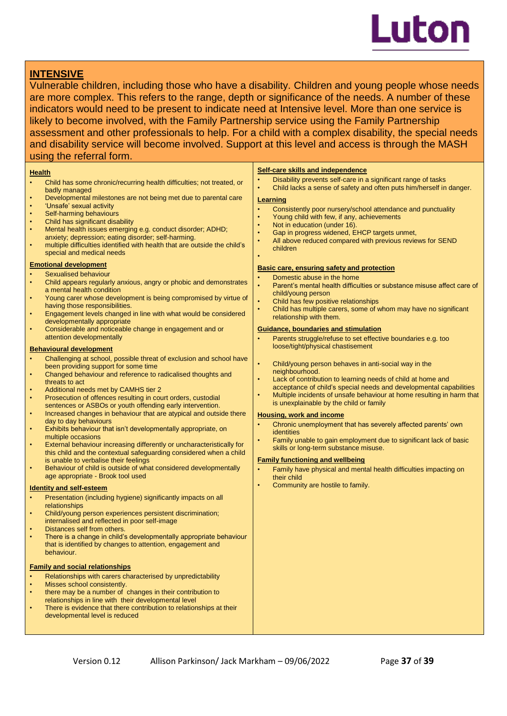

## **INTENSIVE**

Vulnerable children, including those who have a disability. Children and young people whose needs are more complex. This refers to the range, depth or significance of the needs. A number of these indicators would need to be present to indicate need at Intensive level. More than one service is likely to become involved, with the Family Partnership service using the Family Partnership assessment and other professionals to help. For a child with a complex disability, the special needs and disability service will become involved. Support at this level and access is through the MASH using the referral form.

#### **Health**

- Child has some chronic/recurring health difficulties; not treated, or badly managed
- Developmental milestones are not being met due to parental care
- 'Unsafe' sexual activity
- Self-harming behaviours
- Child has significant disability
- Mental health issues emerging e.g. conduct disorder; ADHD; anxiety; depression; eating disorder; self-harming.
- multiple difficulties identified with health that are outside the child's special and medical needs

#### **Emotional development**

- Sexualised behaviour
- Child appears regularly anxious, angry or phobic and demonstrates a mental health condition
- Young carer whose development is being compromised by virtue of having those responsibilities.
- Engagement levels changed in line with what would be considered developmentally appropriate
- Considerable and noticeable change in engagement and or attention developmentally

#### **Behavioural development**

- Challenging at school, possible threat of exclusion and school have been providing support for some time
- Changed behaviour and reference to radicalised thoughts and threats to act
- Additional needs met by CAMHS tier 2
- Prosecution of offences resulting in court orders, custodial sentences or ASBOs or youth offending early intervention.
- Increased changes in behaviour that are atypical and outside there day to day behaviours
- Exhibits behaviour that isn't developmentally appropriate, on multiple occasions
- External behaviour increasing differently or uncharacteristically for this child and the contextual safeguarding considered when a child is unable to verbalise their feelings
- Behaviour of child is outside of what considered developmentally age appropriate - Brook tool used

#### **Identity and self-esteem**

- Presentation (including hygiene) significantly impacts on all relationships
- Child/young person experiences persistent discrimination; internalised and reflected in poor self-image
- Distances self from others.
- There is a change in child's developmentally appropriate behaviour that is identified by changes to attention, engagement and behaviour.

#### **Family and social relationships**

- Relationships with carers characterised by unpredictability
- Misses school consistently.
- there may be a number of changes in their contribution to
- relationships in line with their developmental level
- There is evidence that there contribution to relationships at their developmental level is reduced

#### **Self-care skills and independence**

- Disability prevents self-care in a significant range of tasks
- Child lacks a sense of safety and often puts him/herself in danger.

#### **Learning**

•

- Consistently poor nursery/school attendance and punctuality
- Young child with few, if any, achievements
- Not in education (under 16).
- Gap in progress widened, EHCP targets unmet,
- All above reduced compared with previous reviews for SEND children

- **Basic care, ensuring safety and protection**
- Domestic abuse in the home
- Parent's mental health difficulties or substance misuse affect care of child/young person
- Child has few positive relationships
- Child has multiple carers, some of whom may have no significant relationship with them.

#### **Guidance, boundaries and stimulation**

- Parents struggle/refuse to set effective boundaries e.g. too loose/tight/physical chastisement
- Child/young person behaves in anti-social way in the neighbourhood.
- Lack of contribution to learning needs of child at home and acceptance of child's special needs and developmental capabilities
- Multiple incidents of unsafe behaviour at home resulting in harm that is unexplainable by the child or family

#### **Housing, work and income**

- Chronic unemployment that has severely affected parents' own identities
- Family unable to gain employment due to significant lack of basic skills or long-term substance misuse.

#### **Family functioning and wellbeing**

- Family have physical and mental health difficulties impacting on their child
- Community are hostile to family.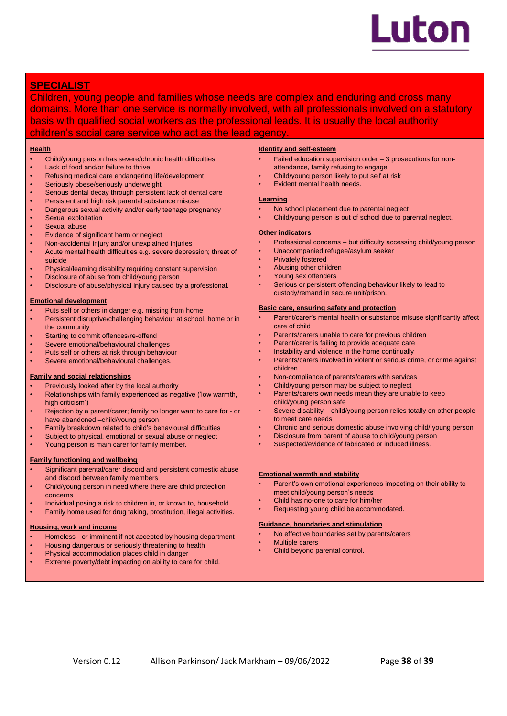

# **SPECIALIST**

Children, young people and families whose needs are complex and enduring and cross many domains. More than one service is normally involved, with all professionals involved on a statutory basis with qualified social workers as the professional leads. It is usually the local authority children's social care service who act as the lead agency.

#### **Health**

- Child/young person has severe/chronic health difficulties
- Lack of food and/or failure to thrive
- Refusing medical care endangering life/development
- Seriously obese/seriously underweight
- Serious dental decay through persistent lack of dental care
- Persistent and high risk parental substance misuse
- Dangerous sexual activity and/or early teenage pregnancy
- Sexual exploitation
- Sexual abuse
- Evidence of significant harm or neglect
- Non-accidental injury and/or unexplained injuries
- Acute mental health difficulties e.g. severe depression; threat of suicide
- Physical/learning disability requiring constant supervision
- Disclosure of abuse from child/young person
- Disclosure of abuse/physical injury caused by a professional.

#### **Emotional development**

- Puts self or others in danger e.g. missing from home
- Persistent disruptive/challenging behaviour at school, home or in the community
- Starting to commit offences/re-offend
- Severe emotional/behavioural challenges
- Puts self or others at risk through behaviour
- Severe emotional/behavioural challenges.

#### **Family and social relationships**

- Previously looked after by the local authority
- Relationships with family experienced as negative ('low warmth, high criticism')
- Rejection by a parent/carer; family no longer want to care for or have abandoned –child/young person
- Family breakdown related to child's behavioural difficulties
- Subject to physical, emotional or sexual abuse or neglect
- Young person is main carer for family member.

#### **Family functioning and wellbeing**

- Significant parental/carer discord and persistent domestic abuse and discord between family members
- Child/young person in need where there are child protection concerns
- Individual posing a risk to children in, or known to, household
- Family home used for drug taking, prostitution, illegal activities.

#### **Housing, work and income**

- Homeless or imminent if not accepted by housing department
- Housing dangerous or seriously threatening to health
- Physical accommodation places child in danger
- Extreme poverty/debt impacting on ability to care for child.

#### **Identity and self-esteem**

- Failed education supervision order 3 prosecutions for nonattendance, family refusing to engage
- Child/young person likely to put self at risk
- Evident mental health needs.

#### **Learning**

- No school placement due to parental neglect
- Child/young person is out of school due to parental neglect.

#### **Other indicators**

- Professional concerns but difficulty accessing child/young person
- Unaccompanied refugee/asylum seeker
- Privately fostered
- Abusing other children
- Young sex offenders
- Serious or persistent offending behaviour likely to lead to custody/remand in secure unit/prison.

#### **Basic care, ensuring safety and protection**

- Parent/carer's mental health or substance misuse significantly affect care of child
- Parents/carers unable to care for previous children
- Parent/carer is failing to provide adequate care
- Instability and violence in the home continually
- Parents/carers involved in violent or serious crime, or crime against children
- Non-compliance of parents/carers with services
- Child/young person may be subject to neglect
- Parents/carers own needs mean they are unable to keep child/young person safe
- Severe disability child/young person relies totally on other people to meet care needs
- Chronic and serious domestic abuse involving child/ young person
- Disclosure from parent of abuse to child/young person
- Suspected/evidence of fabricated or induced illness.

#### **Emotional warmth and stability**

- Parent's own emotional experiences impacting on their ability to meet child/young person's needs
- Child has no-one to care for him/her
- Requesting young child be accommodated.

#### **Guidance, boundaries and stimulation**

- No effective boundaries set by parents/carers
- **Multiple carers**
- Child beyond parental control.